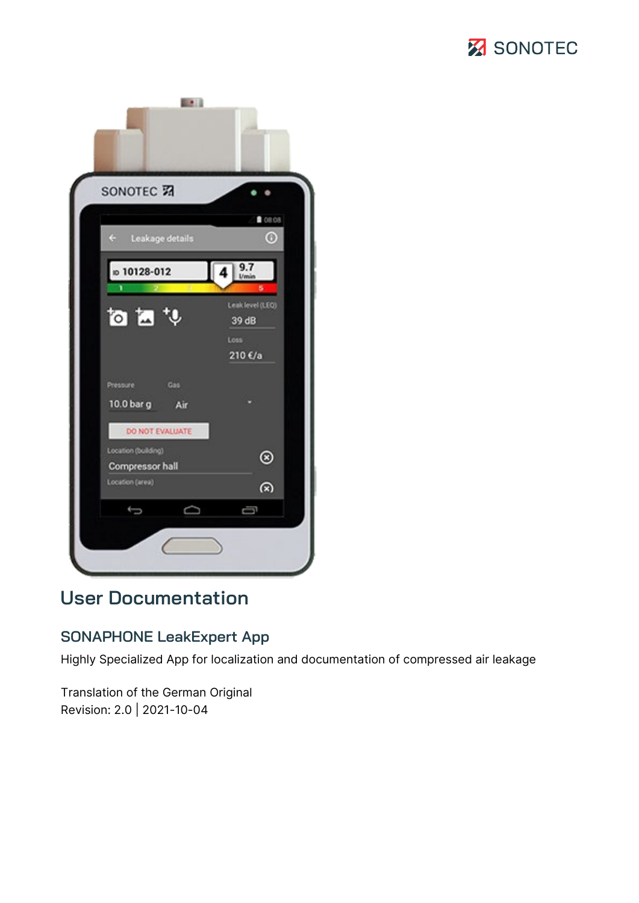# **Z** SONOTEC



# **User Documentation**

## **SONAPHONE LeakExpert App**

Highly Specialized App for localization and documentation of compressed air leakage

Translation of the German Original Revision: 2.0 | 2021-10-04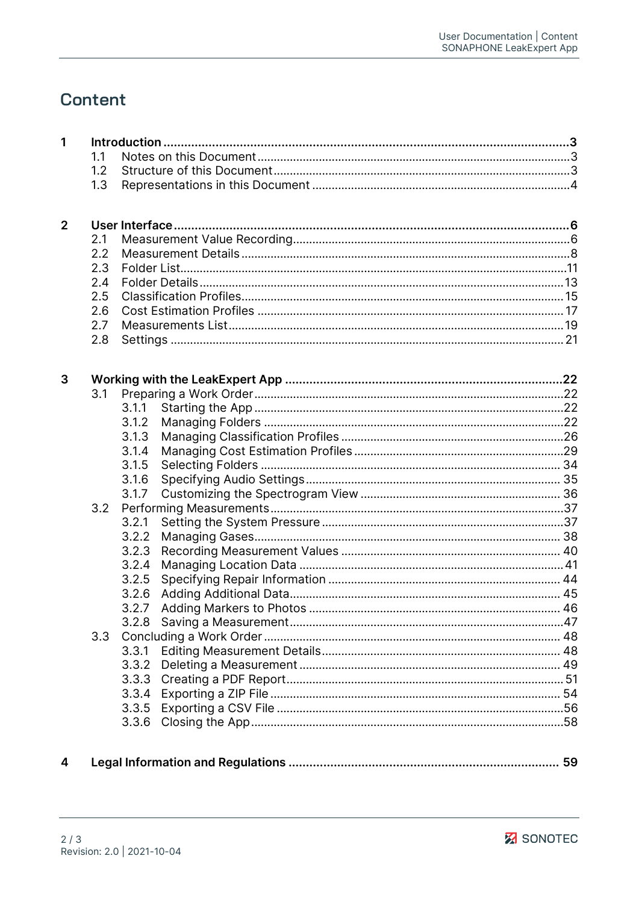# **Content**

| 1            |     |       |  |
|--------------|-----|-------|--|
|              | 1.1 |       |  |
|              | 1.2 |       |  |
|              | 1.3 |       |  |
|              |     |       |  |
| $\mathbf{2}$ |     |       |  |
|              | 2.1 |       |  |
|              | 2.2 |       |  |
|              | 2.3 |       |  |
|              | 2.4 |       |  |
|              | 2.5 |       |  |
|              | 2.6 |       |  |
|              | 2.7 |       |  |
|              | 2.8 |       |  |
|              |     |       |  |
| 3            |     |       |  |
|              | 3.1 |       |  |
|              |     | 3.1.1 |  |
|              |     | 3.1.2 |  |
|              |     | 3.1.3 |  |
|              |     | 3.1.4 |  |
|              |     | 3.1.5 |  |
|              |     | 3.1.6 |  |
|              |     | 3.1.7 |  |
|              | 3.2 |       |  |
|              |     | 3.2.1 |  |
|              |     | 3.2.2 |  |
|              |     | 3.2.3 |  |
|              |     | 3.2.4 |  |
|              |     | 3.2.5 |  |
|              |     | 3.2.6 |  |
|              |     | 3.2.7 |  |
|              |     | 3.2.8 |  |
|              | 3.3 |       |  |
|              |     | 3.3.1 |  |
|              |     | 3.3.2 |  |
|              |     |       |  |
|              |     | 3.3.4 |  |
|              |     | 3.3.5 |  |
|              |     | 3.3.6 |  |
|              |     |       |  |

 $\overline{\mathbf{4}}$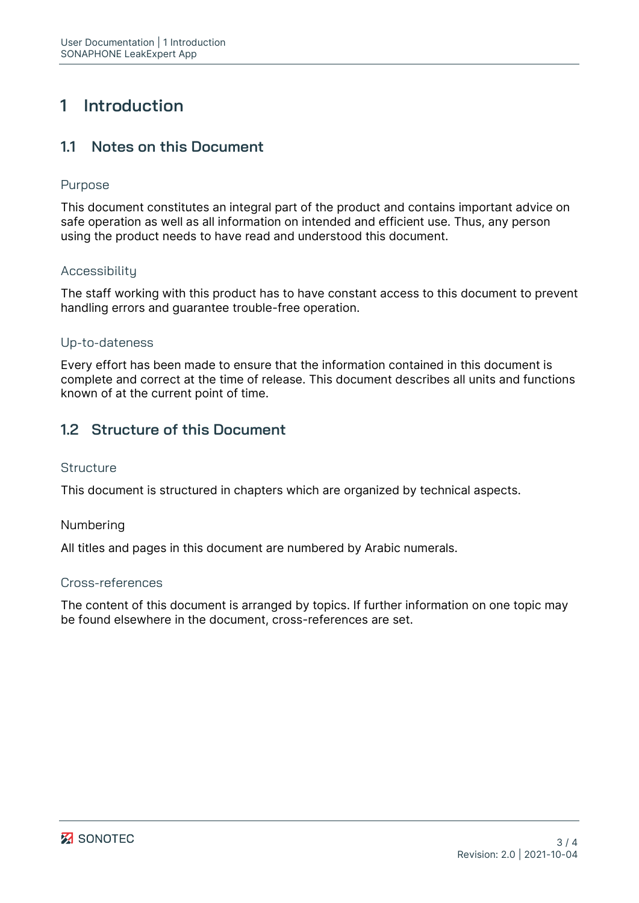# <span id="page-2-0"></span>**1 Introduction**

## <span id="page-2-1"></span>**1.1 Notes on this Document**

#### Purpose

This document constitutes an integral part of the product and contains important advice on safe operation as well as all information on intended and efficient use. Thus, any person using the product needs to have read and understood this document.

## Accessibility

The staff working with this product has to have constant access to this document to prevent handling errors and guarantee trouble-free operation.

#### Up-to-dateness

Every effort has been made to ensure that the information contained in this document is complete and correct at the time of release. This document describes all units and functions known of at the current point of time.

## <span id="page-2-2"></span>**1.2 Structure of this Document**

#### **Structure**

This document is structured in chapters which are organized by technical aspects.

#### Numbering

All titles and pages in this document are numbered by Arabic numerals.

#### Cross-references

The content of this document is arranged by topics. If further information on one topic may be found elsewhere in the document, cross-references are set.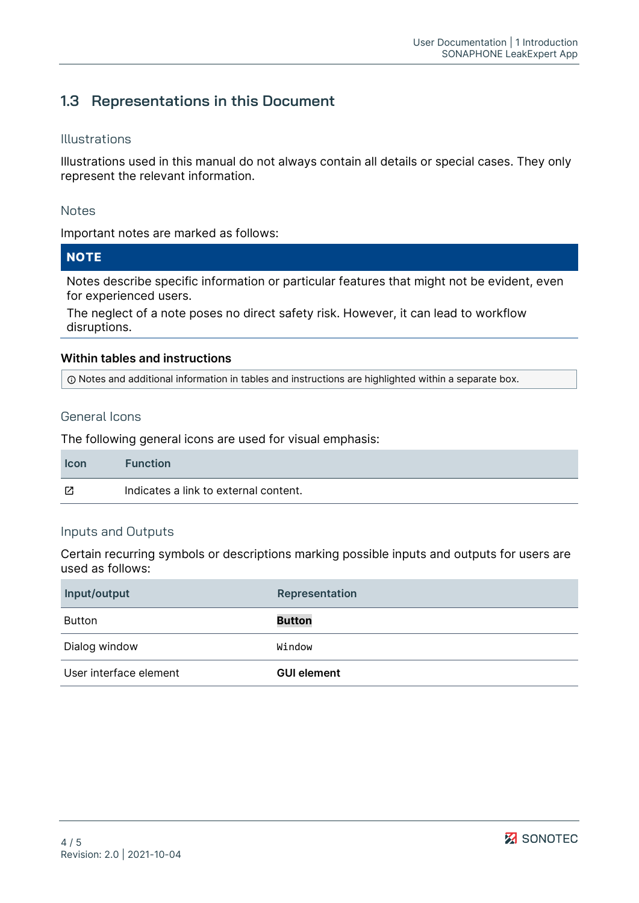## <span id="page-3-0"></span>**1.3 Representations in this Document**

#### Illustrations

Illustrations used in this manual do not always contain all details or special cases. They only represent the relevant information.

#### Notes

Important notes are marked as follows:

## **NOTE**

Notes describe specific information or particular features that might not be evident, even for experienced users.

The neglect of a note poses no direct safety risk. However, it can lead to workflow disruptions.

#### **Within tables and instructions**

Notes and additional information in tables and instructions are highlighted within a separate box.

#### General Icons

The following general icons are used for visual emphasis:

| <b>Icon</b> | <b>Function</b>                       |
|-------------|---------------------------------------|
| Г4          | Indicates a link to external content. |

#### Inputs and Outputs

Certain recurring symbols or descriptions marking possible inputs and outputs for users are used as follows:

| Input/output           | Representation     |
|------------------------|--------------------|
| Button                 | <b>Button</b>      |
| Dialog window          | Window             |
| User interface element | <b>GUI element</b> |

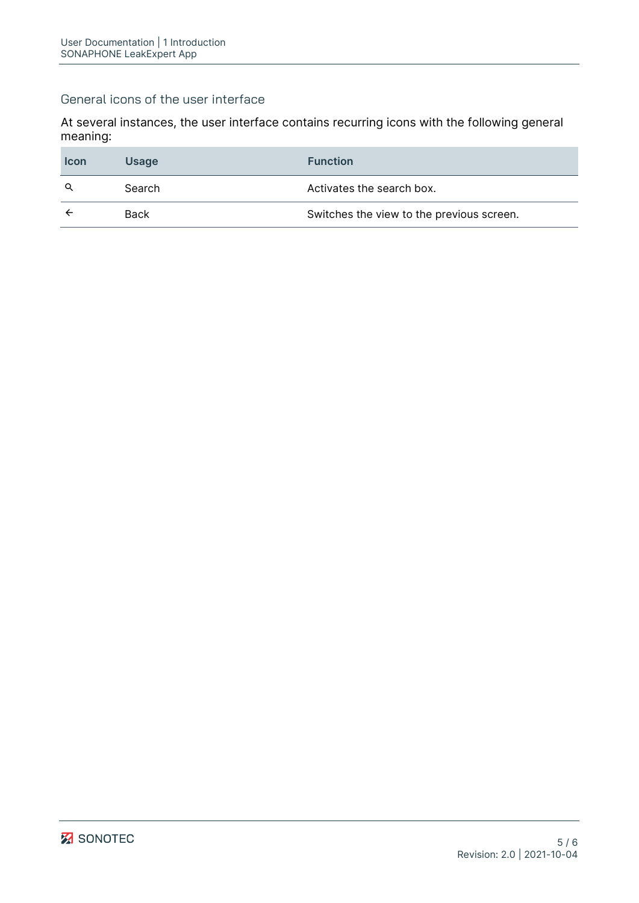#### General icons of the user interface

At several instances, the user interface contains recurring icons with the following general meaning:

| <b>Icon</b> | <b>Usage</b> | <b>Function</b>                           |
|-------------|--------------|-------------------------------------------|
| Q           | Search       | Activates the search box.                 |
|             | <b>Back</b>  | Switches the view to the previous screen. |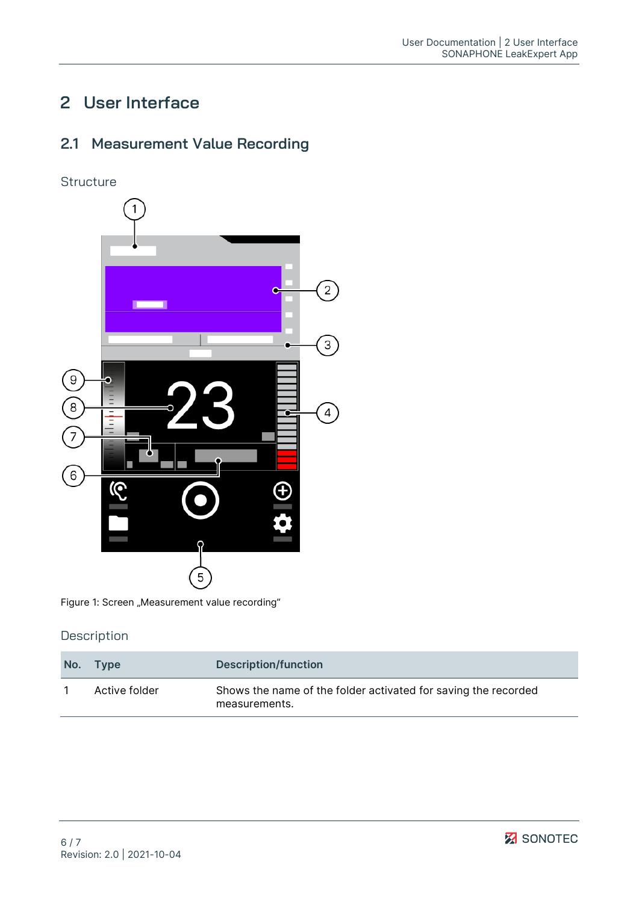# <span id="page-5-0"></span>**2 User Interface**

## <span id="page-5-1"></span>**2.1 Measurement Value Recording**





Figure 1: Screen "Measurement value recording"

| No. | Type          | Description/function                                                            |
|-----|---------------|---------------------------------------------------------------------------------|
|     | Active folder | Shows the name of the folder activated for saving the recorded<br>measurements. |

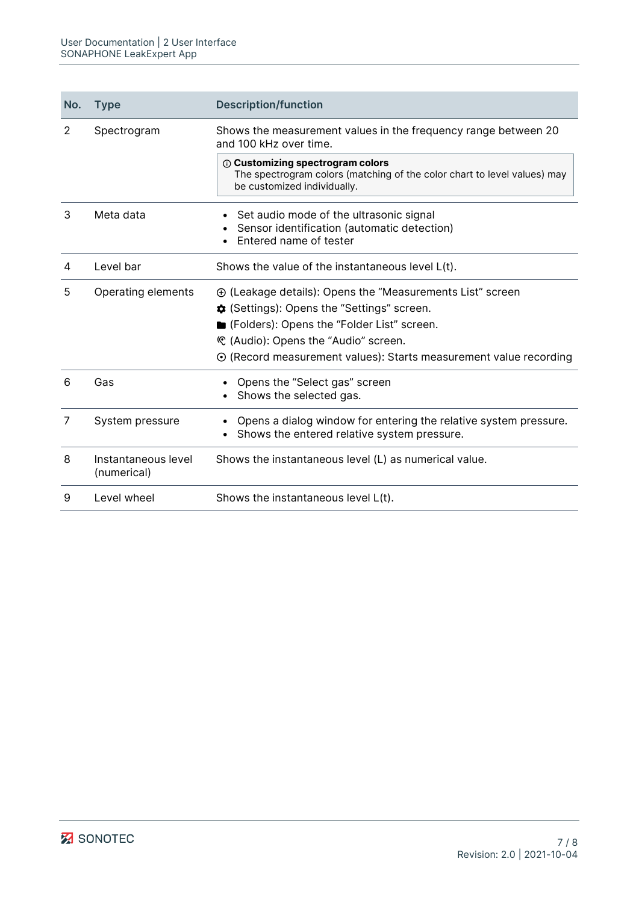| No. | <b>Type</b>                        | <b>Description/function</b>                                                                                                                        |
|-----|------------------------------------|----------------------------------------------------------------------------------------------------------------------------------------------------|
| 2   | Spectrogram                        | Shows the measurement values in the frequency range between 20<br>and 100 kHz over time.                                                           |
|     |                                    | <b>1</b> Customizing spectrogram colors<br>The spectrogram colors (matching of the color chart to level values) may<br>be customized individually. |
| 3   | Meta data                          | Set audio mode of the ultrasonic signal<br>Sensor identification (automatic detection)<br>Entered name of tester                                   |
| 4   | Level bar                          | Shows the value of the instantaneous level L(t).                                                                                                   |
| 5   | Operating elements                 | $\oplus$ (Leakage details): Opens the "Measurements List" screen                                                                                   |
|     |                                    | <b>‡</b> (Settings): Opens the "Settings" screen.                                                                                                  |
|     |                                    | Geta (Folders): Opens the "Folder List" screen.                                                                                                    |
|     |                                    | © (Audio): Opens the "Audio" screen.                                                                                                               |
|     |                                    | $\odot$ (Record measurement values): Starts measurement value recording                                                                            |
| 6   | Gas                                | Opens the "Select gas" screen<br>Shows the selected gas.                                                                                           |
| 7   | System pressure                    | Opens a dialog window for entering the relative system pressure.<br>Shows the entered relative system pressure.                                    |
| 8   | Instantaneous level<br>(numerical) | Shows the instantaneous level (L) as numerical value.                                                                                              |
| 9   | Level wheel                        | Shows the instantaneous level L(t).                                                                                                                |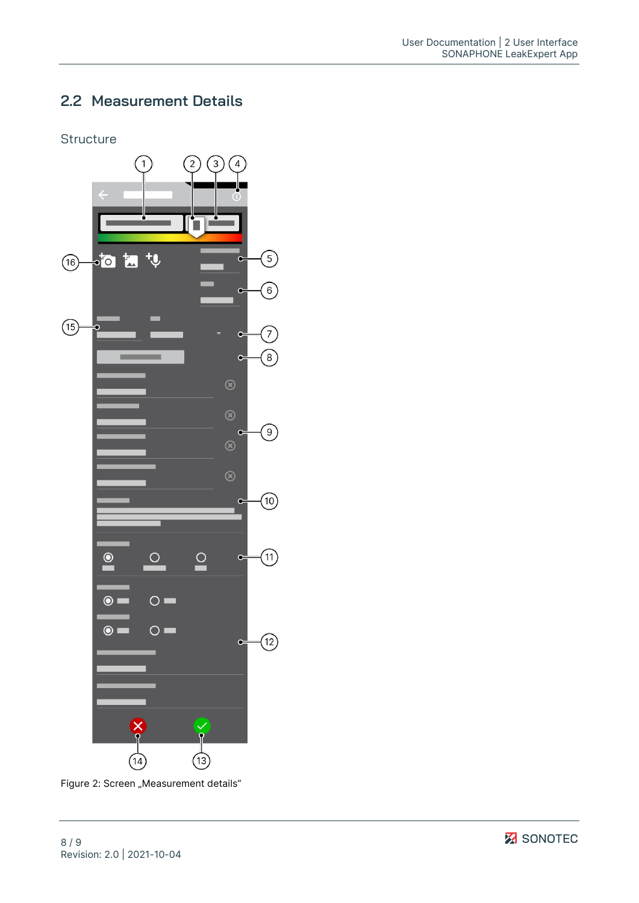## <span id="page-7-0"></span>**2.2 Measurement Details**

#### **Structure**



Figure 2: Screen "Measurement details"

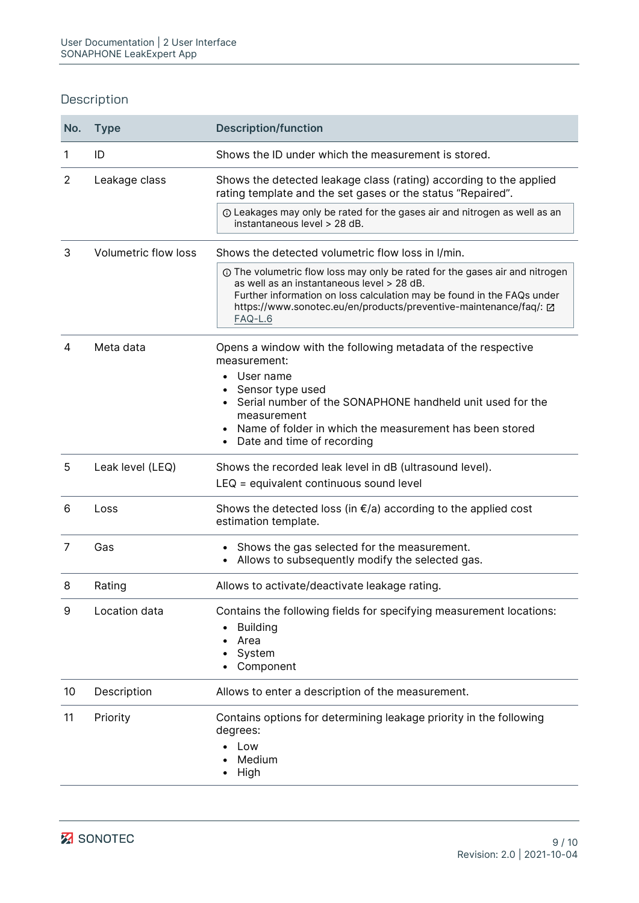| No. | <b>Type</b>                 | <b>Description/function</b>                                                                                                                                                                                                                                                         |
|-----|-----------------------------|-------------------------------------------------------------------------------------------------------------------------------------------------------------------------------------------------------------------------------------------------------------------------------------|
| 1   | ID                          | Shows the ID under which the measurement is stored.                                                                                                                                                                                                                                 |
| 2   | Leakage class               | Shows the detected leakage class (rating) according to the applied<br>rating template and the set gases or the status "Repaired".                                                                                                                                                   |
|     |                             | 10 Leakages may only be rated for the gases air and nitrogen as well as an<br>instantaneous level > 28 dB.                                                                                                                                                                          |
| 3   | <b>Volumetric flow loss</b> | Shows the detected volumetric flow loss in I/min.                                                                                                                                                                                                                                   |
|     |                             | ① The volumetric flow loss may only be rated for the gases air and nitrogen<br>as well as an instantaneous level > 28 dB.<br>Further information on loss calculation may be found in the FAQs under<br>https://www.sonotec.eu/en/products/preventive-maintenance/faq/: Z<br>FAQ-L.6 |
| 4   | Meta data                   | Opens a window with the following metadata of the respective<br>measurement:<br>User name<br>Sensor type used<br>Serial number of the SONAPHONE handheld unit used for the<br>measurement                                                                                           |
|     |                             | Name of folder in which the measurement has been stored<br>$\bullet$<br>Date and time of recording<br>$\bullet$                                                                                                                                                                     |
| 5   | Leak level (LEQ)            | Shows the recorded leak level in dB (ultrasound level).<br>LEQ = equivalent continuous sound level                                                                                                                                                                                  |
| 6   | Loss                        | Shows the detected loss (in $\epsilon/a$ ) according to the applied cost<br>estimation template.                                                                                                                                                                                    |
| 7   | Gas                         | Shows the gas selected for the measurement.<br>Allows to subsequently modify the selected gas.                                                                                                                                                                                      |
| 8   | Rating                      | Allows to activate/deactivate leakage rating.                                                                                                                                                                                                                                       |
| 9   | Location data               | Contains the following fields for specifying measurement locations:<br><b>Building</b><br>Area<br>System<br>Component                                                                                                                                                               |
| 10  | Description                 | Allows to enter a description of the measurement.                                                                                                                                                                                                                                   |
| 11  | Priority                    | Contains options for determining leakage priority in the following<br>degrees:<br>Low<br>Medium<br>High                                                                                                                                                                             |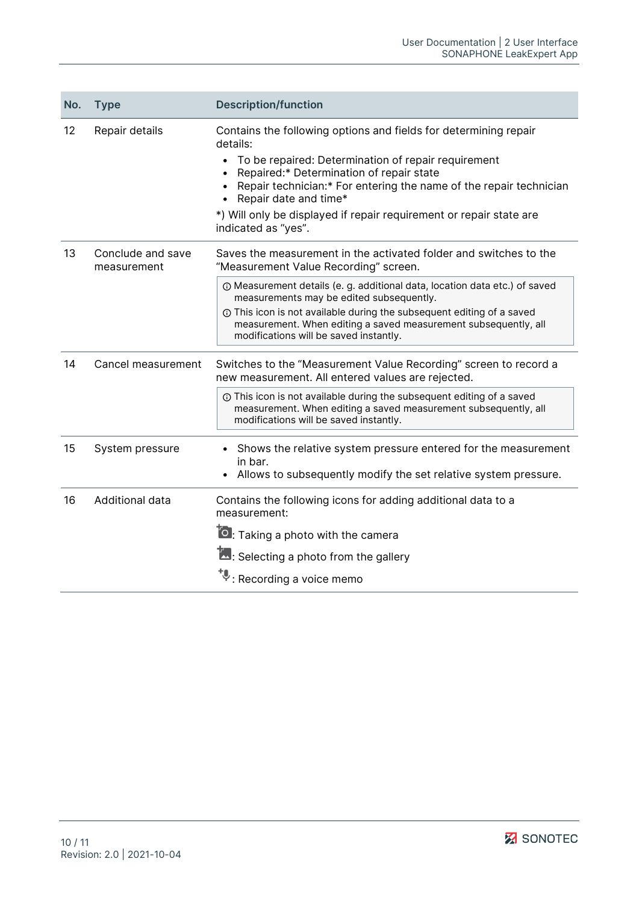| No. | <b>Type</b>                      | <b>Description/function</b>                                                                                                                                                                                                                                                                                                                                                               |
|-----|----------------------------------|-------------------------------------------------------------------------------------------------------------------------------------------------------------------------------------------------------------------------------------------------------------------------------------------------------------------------------------------------------------------------------------------|
| 12  | Repair details                   | Contains the following options and fields for determining repair<br>details:<br>To be repaired: Determination of repair requirement<br>$\bullet$<br>Repaired:* Determination of repair state<br>Repair technician:* For entering the name of the repair technician<br>Repair date and time*<br>*) Will only be displayed if repair requirement or repair state are<br>indicated as "yes". |
| 13  | Conclude and save<br>measurement | Saves the measurement in the activated folder and switches to the<br>"Measurement Value Recording" screen.                                                                                                                                                                                                                                                                                |
|     |                                  | 10 Measurement details (e. g. additional data, location data etc.) of saved<br>measurements may be edited subsequently.<br><b>O</b> This icon is not available during the subsequent editing of a saved                                                                                                                                                                                   |
|     |                                  | measurement. When editing a saved measurement subsequently, all<br>modifications will be saved instantly.                                                                                                                                                                                                                                                                                 |
| 14  | Cancel measurement               | Switches to the "Measurement Value Recording" screen to record a<br>new measurement. All entered values are rejected.                                                                                                                                                                                                                                                                     |
|     |                                  | ① This icon is not available during the subsequent editing of a saved<br>measurement. When editing a saved measurement subsequently, all<br>modifications will be saved instantly.                                                                                                                                                                                                        |
| 15  | System pressure                  | Shows the relative system pressure entered for the measurement<br>$\bullet$<br>in bar.<br>Allows to subsequently modify the set relative system pressure.                                                                                                                                                                                                                                 |
| 16  | Additional data                  | Contains the following icons for adding additional data to a<br>measurement:                                                                                                                                                                                                                                                                                                              |
|     |                                  | <b>O</b> : Taking a photo with the camera                                                                                                                                                                                                                                                                                                                                                 |
|     |                                  | Selecting a photo from the gallery                                                                                                                                                                                                                                                                                                                                                        |
|     |                                  | *↓<br>∵Recording a voice memo                                                                                                                                                                                                                                                                                                                                                             |

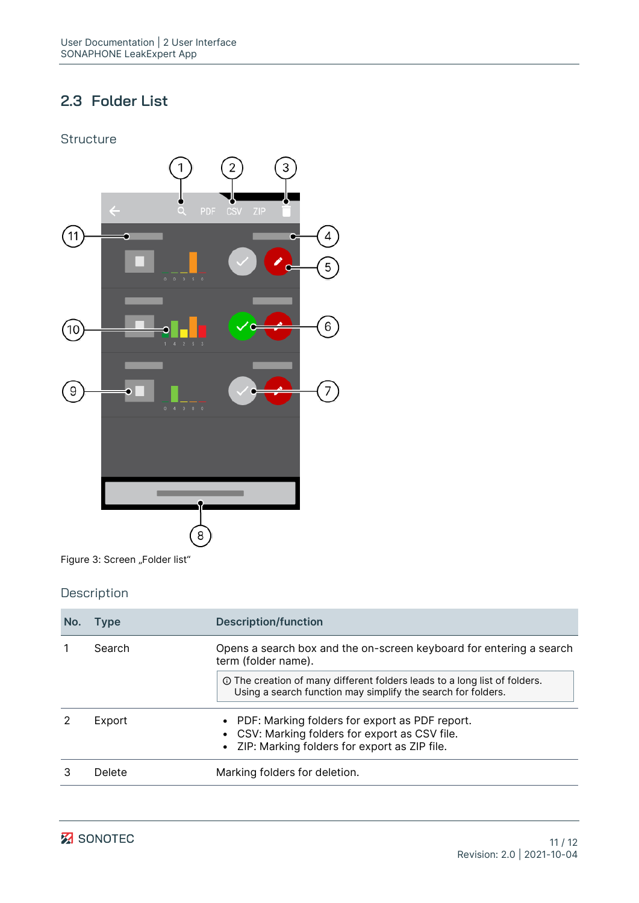## <span id="page-10-0"></span>**2.3 Folder List**

#### **Structure**



Figure 3: Screen "Folder list"

| No. | <b>Type</b> | <b>Description/function</b>                                                                                                                          |
|-----|-------------|------------------------------------------------------------------------------------------------------------------------------------------------------|
|     | Search      | Opens a search box and the on-screen keyboard for entering a search<br>term (folder name).                                                           |
|     |             | The creation of many different folders leads to a long list of folders.<br>Using a search function may simplify the search for folders.              |
|     | Export      | • PDF: Marking folders for export as PDF report.<br>• CSV: Marking folders for export as CSV file.<br>• ZIP: Marking folders for export as ZIP file. |
|     | Delete      | Marking folders for deletion.                                                                                                                        |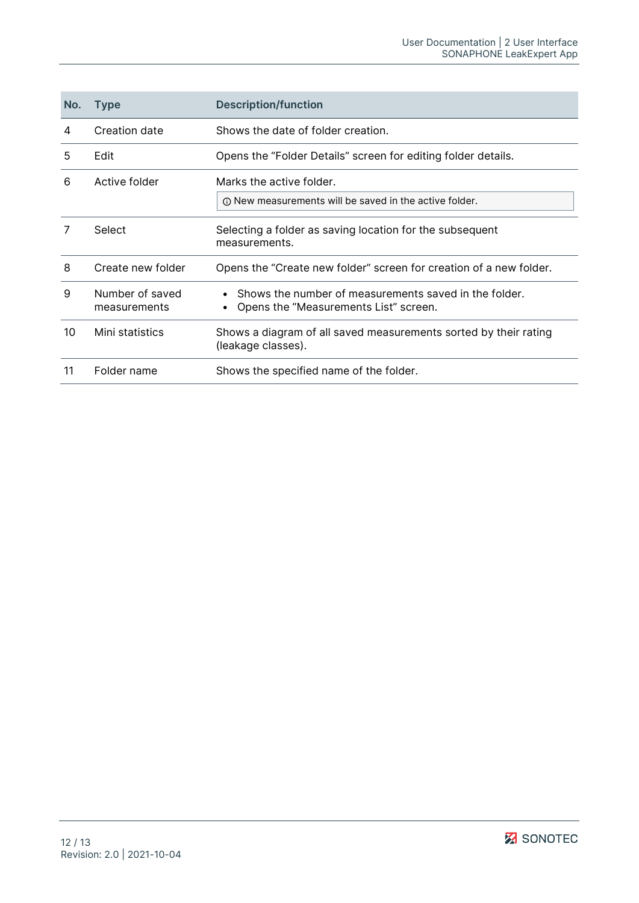| No. | <b>Type</b>                     | <b>Description/function</b>                                                                    |
|-----|---------------------------------|------------------------------------------------------------------------------------------------|
| 4   | Creation date                   | Shows the date of folder creation.                                                             |
| 5   | Edit                            | Opens the "Folder Details" screen for editing folder details.                                  |
| 6   | Active folder                   | Marks the active folder.<br><b>O New measurements will be saved in the active folder.</b>      |
| 7   | Select                          | Selecting a folder as saving location for the subsequent<br>measurements.                      |
| 8   | Create new folder               | Opens the "Create new folder" screen for creation of a new folder.                             |
| 9   | Number of saved<br>measurements | Shows the number of measurements saved in the folder.<br>Opens the "Measurements List" screen. |
| 10  | Mini statistics                 | Shows a diagram of all saved measurements sorted by their rating<br>(leakage classes).         |
| 11  | Folder name                     | Shows the specified name of the folder.                                                        |

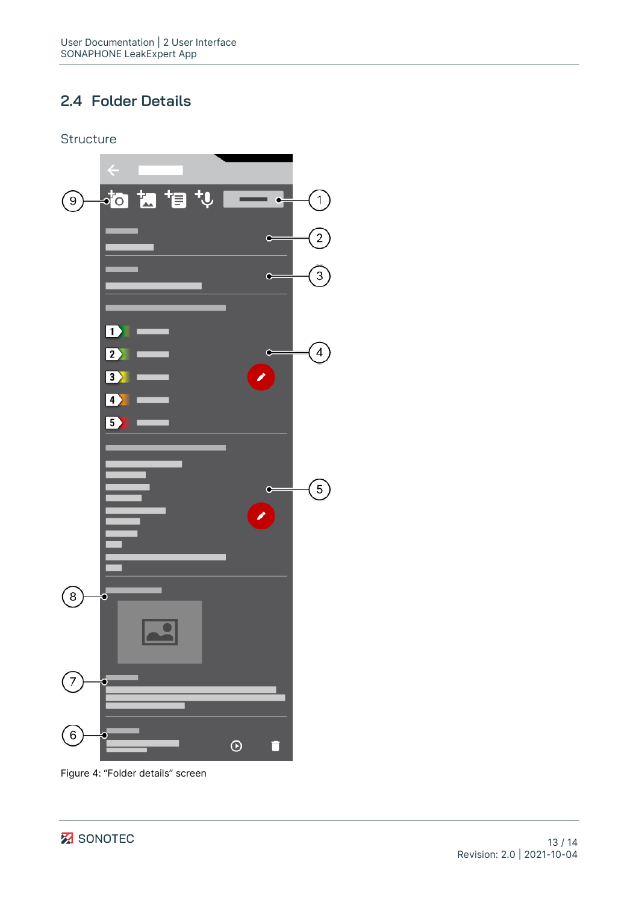## <span id="page-12-0"></span>**2.4 Folder Details**

**Structure** 



Figure 4: "Folder details" screen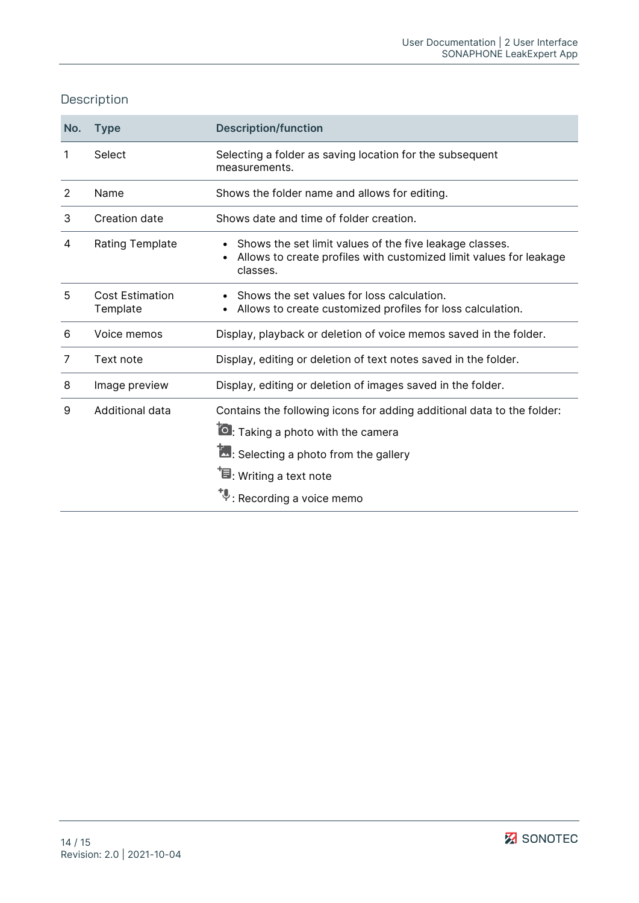| No. | <b>Type</b>                        | <b>Description/function</b>                                                                                                                                                                                                          |
|-----|------------------------------------|--------------------------------------------------------------------------------------------------------------------------------------------------------------------------------------------------------------------------------------|
| 1   | Select                             | Selecting a folder as saving location for the subsequent<br>measurements.                                                                                                                                                            |
| 2   | Name                               | Shows the folder name and allows for editing.                                                                                                                                                                                        |
| 3   | Creation date                      | Shows date and time of folder creation.                                                                                                                                                                                              |
| 4   | <b>Rating Template</b>             | Shows the set limit values of the five leakage classes.<br>Allows to create profiles with customized limit values for leakage<br>classes.                                                                                            |
| 5   | <b>Cost Estimation</b><br>Template | Shows the set values for loss calculation.<br>Allows to create customized profiles for loss calculation.                                                                                                                             |
| 6   | Voice memos                        | Display, playback or deletion of voice memos saved in the folder.                                                                                                                                                                    |
| 7   | Text note                          | Display, editing or deletion of text notes saved in the folder.                                                                                                                                                                      |
| 8   | Image preview                      | Display, editing or deletion of images saved in the folder.                                                                                                                                                                          |
| 9   | Additional data                    | Contains the following icons for adding additional data to the folder:<br><b>O</b> : Taking a photo with the camera<br>L: Selecting a photo from the gallery<br>$\mathbf{\bar{F}}$ : Writing a text note<br>: Recording a voice memo |

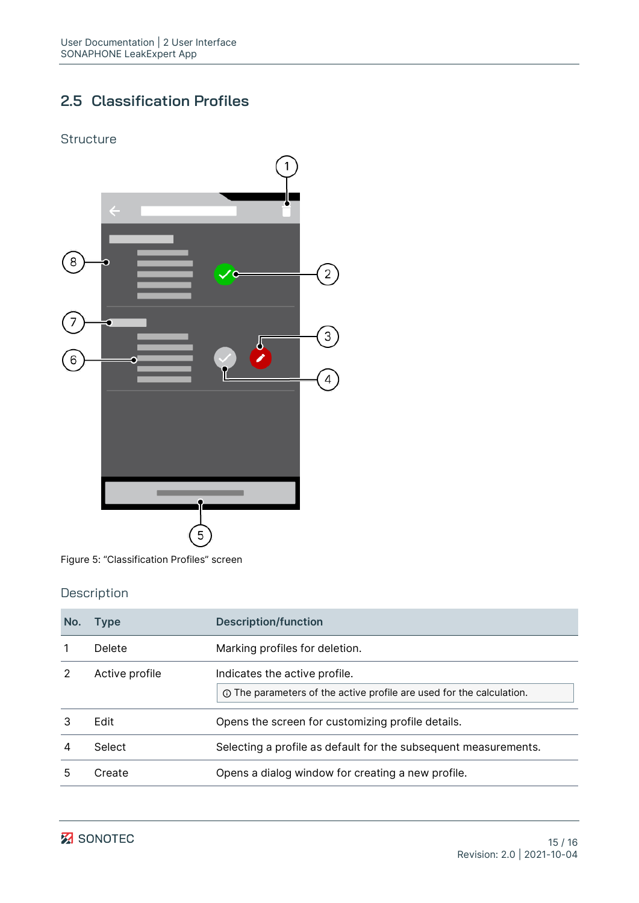## <span id="page-14-0"></span>**2.5 Classification Profiles**

#### **Structure**



Figure 5: "Classification Profiles" screen

| No. | <b>Type</b>    | <b>Description/function</b>                                                                           |
|-----|----------------|-------------------------------------------------------------------------------------------------------|
|     | Delete         | Marking profiles for deletion.                                                                        |
|     | Active profile | Indicates the active profile.<br>① The parameters of the active profile are used for the calculation. |
|     | Edit           | Opens the screen for customizing profile details.                                                     |
| 4   | Select         | Selecting a profile as default for the subsequent measurements.                                       |
|     | Create         | Opens a dialog window for creating a new profile.                                                     |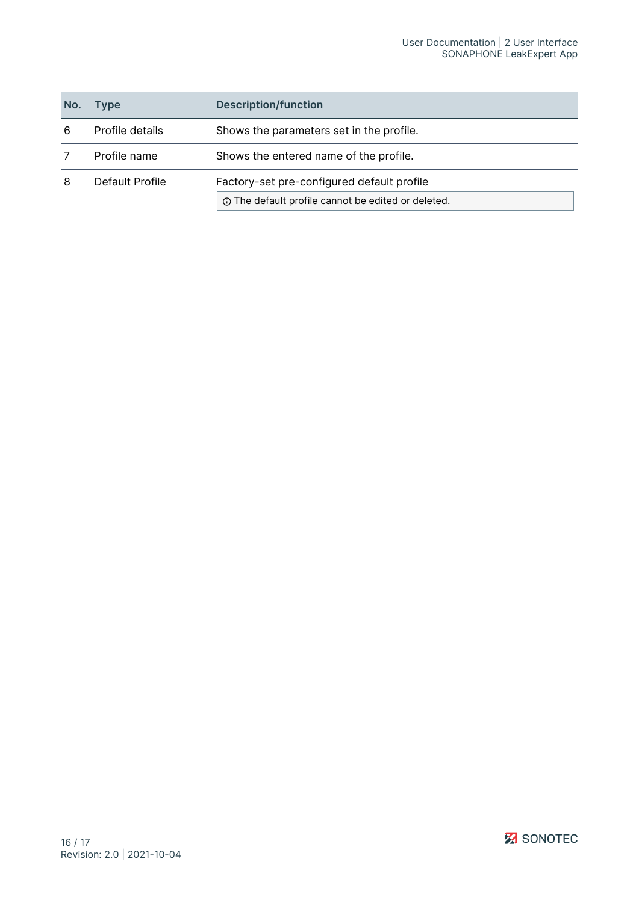| No. | Type            | <b>Description/function</b>                                                                             |
|-----|-----------------|---------------------------------------------------------------------------------------------------------|
| 6   | Profile details | Shows the parameters set in the profile.                                                                |
|     | Profile name    | Shows the entered name of the profile.                                                                  |
| 8   | Default Profile | Factory-set pre-configured default profile<br><b>O</b> The default profile cannot be edited or deleted. |

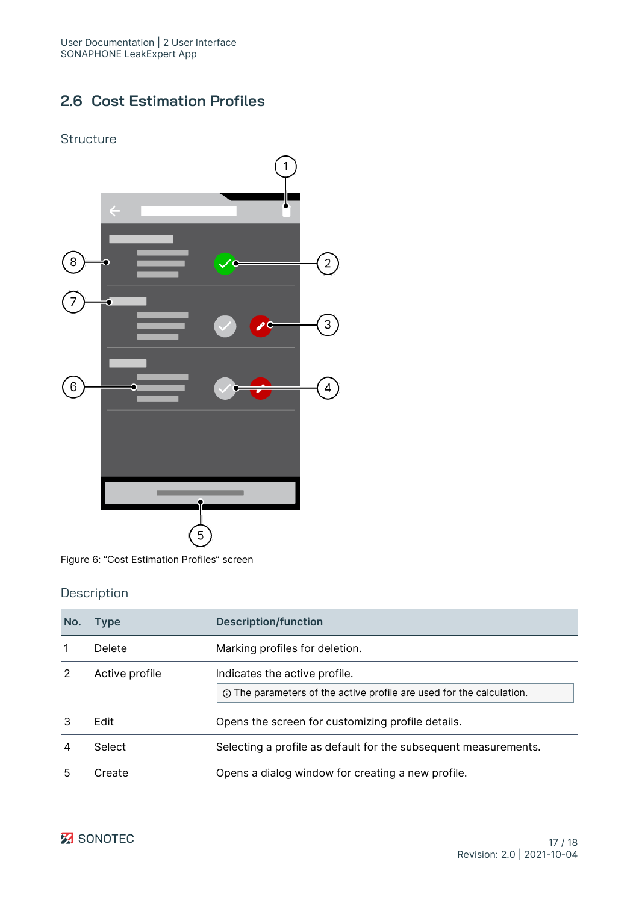## <span id="page-16-0"></span>**2.6 Cost Estimation Profiles**

#### **Structure**



Figure 6: "Cost Estimation Profiles" screen

| No. | <b>Type</b>    | <b>Description/function</b>                                                                           |
|-----|----------------|-------------------------------------------------------------------------------------------------------|
|     | Delete         | Marking profiles for deletion.                                                                        |
|     | Active profile | Indicates the active profile.<br>① The parameters of the active profile are used for the calculation. |
|     | Edit           | Opens the screen for customizing profile details.                                                     |
| 4   | Select         | Selecting a profile as default for the subsequent measurements.                                       |
| 5   | Create         | Opens a dialog window for creating a new profile.                                                     |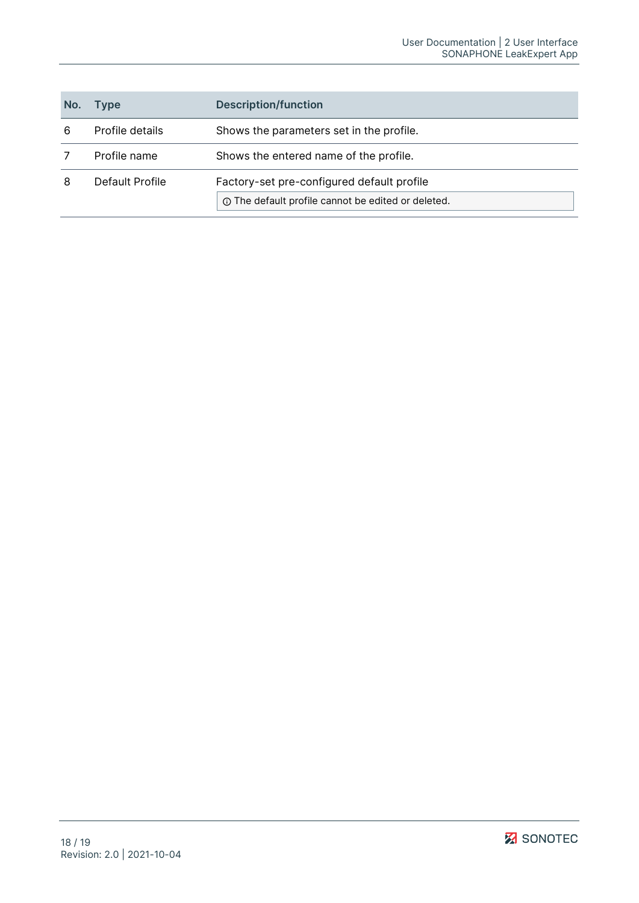| No. | Type            | <b>Description/function</b>                                                                             |
|-----|-----------------|---------------------------------------------------------------------------------------------------------|
| 6   | Profile details | Shows the parameters set in the profile.                                                                |
|     | Profile name    | Shows the entered name of the profile.                                                                  |
| 8   | Default Profile | Factory-set pre-configured default profile<br><b>O</b> The default profile cannot be edited or deleted. |

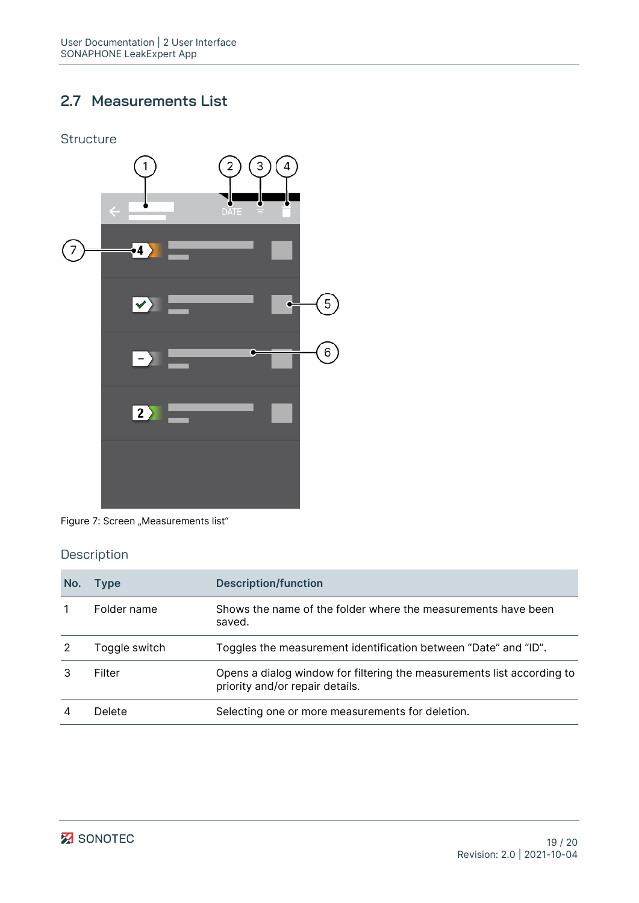## <span id="page-18-0"></span>**2.7 Measurements List**



Figure 7: Screen "Measurements list"

| No. | <b>Type</b>   | <b>Description/function</b>                                                                               |
|-----|---------------|-----------------------------------------------------------------------------------------------------------|
|     | Folder name   | Shows the name of the folder where the measurements have been<br>saved.                                   |
|     | Toggle switch | Toggles the measurement identification between "Date" and "ID".                                           |
|     | Filter        | Opens a dialog window for filtering the measurements list according to<br>priority and/or repair details. |
|     | Delete        | Selecting one or more measurements for deletion.                                                          |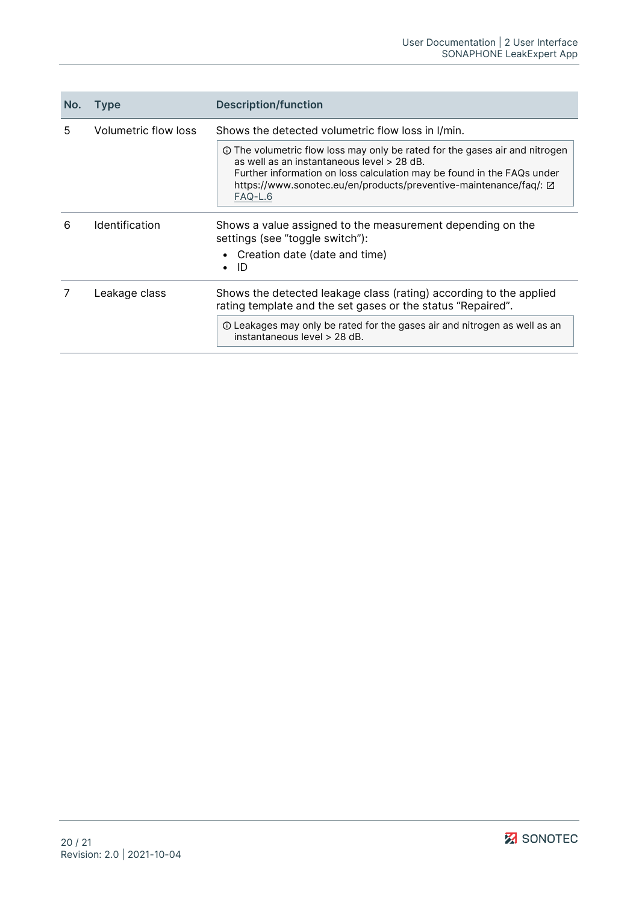| No. | <b>Type</b>                                                                                                  | <b>Description/function</b>                                                                                                                                                                                                                                                         |
|-----|--------------------------------------------------------------------------------------------------------------|-------------------------------------------------------------------------------------------------------------------------------------------------------------------------------------------------------------------------------------------------------------------------------------|
| 5   | Volumetric flow loss                                                                                         | Shows the detected volumetric flow loss in I/min.                                                                                                                                                                                                                                   |
|     |                                                                                                              | ① The volumetric flow loss may only be rated for the gases air and nitrogen<br>as well as an instantaneous level > 28 dB.<br>Further information on loss calculation may be found in the FAQs under<br>https://www.sonotec.eu/en/products/preventive-maintenance/faq/: Z<br>FAQ-L.6 |
| 6   | <b>Identification</b>                                                                                        | Shows a value assigned to the measurement depending on the<br>settings (see "toggle switch"):                                                                                                                                                                                       |
|     |                                                                                                              | • Creation date (date and time)<br>ID                                                                                                                                                                                                                                               |
|     | Leakage class<br>rating template and the set gases or the status "Repaired".<br>instantaneous level > 28 dB. | Shows the detected leakage class (rating) according to the applied                                                                                                                                                                                                                  |
|     |                                                                                                              | ① Leakages may only be rated for the gases air and nitrogen as well as an                                                                                                                                                                                                           |

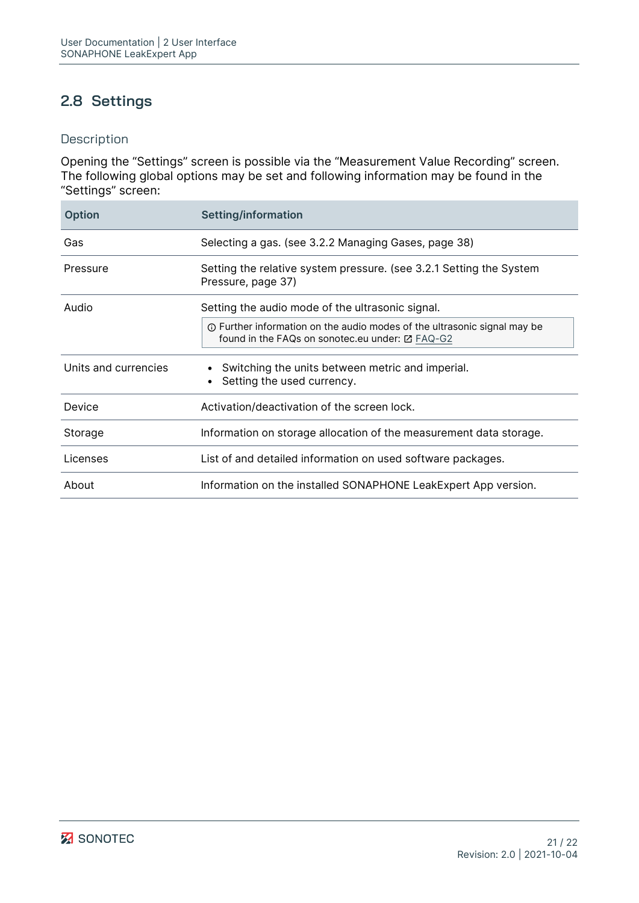## <span id="page-20-0"></span>**2.8 Settings**

## Description

Opening the "Settings" screen is possible via the "Measurement Value Recording" screen. The following global options may be set and following information may be found in the "Settings" screen:

| <b>Option</b>        | Setting/information                                                                                                                |
|----------------------|------------------------------------------------------------------------------------------------------------------------------------|
| Gas                  | Selecting a gas. (see 3.2.2 Managing Gases, page 38)                                                                               |
| Pressure             | Setting the relative system pressure. (see 3.2.1 Setting the System<br>Pressure, page 37)                                          |
| Audio                | Setting the audio mode of the ultrasonic signal.                                                                                   |
|                      | <b>①</b> Further information on the audio modes of the ultrasonic signal may be<br>found in the FAQs on sonotec.eu under: ⊠ FAQ-G2 |
| Units and currencies | • Switching the units between metric and imperial.<br>Setting the used currency.                                                   |
| Device               | Activation/deactivation of the screen lock.                                                                                        |
| Storage              | Information on storage allocation of the measurement data storage.                                                                 |
| Licenses             | List of and detailed information on used software packages.                                                                        |
| About                | Information on the installed SONAPHONE LeakExpert App version.                                                                     |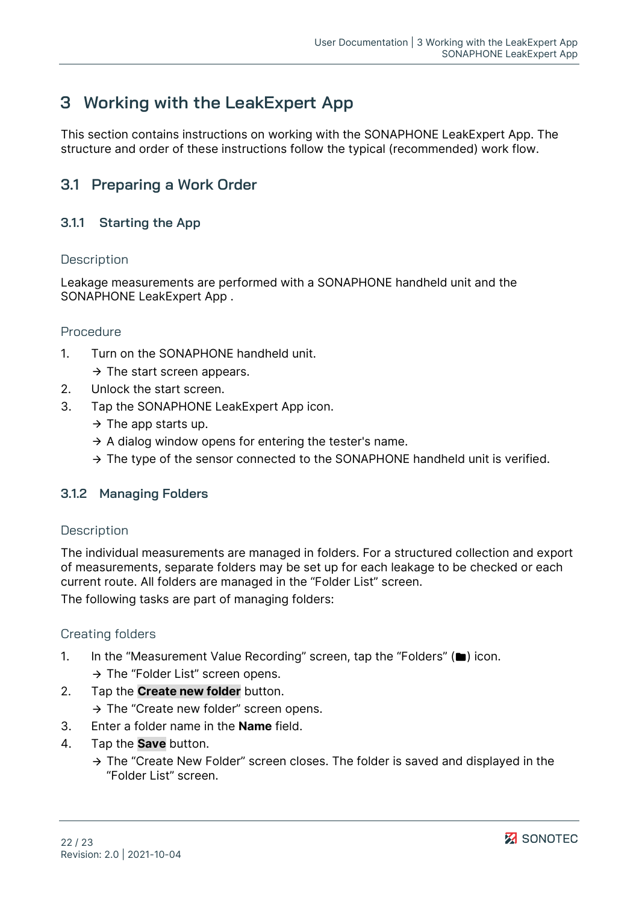# <span id="page-21-0"></span>**3 Working with the LeakExpert App**

This section contains instructions on working with the SONAPHONE LeakExpert App. The structure and order of these instructions follow the typical (recommended) work flow.

## <span id="page-21-1"></span>**3.1 Preparing a Work Order**

## <span id="page-21-2"></span>**3.1.1 Starting the App**

#### **Description**

Leakage measurements are performed with a SONAPHONE handheld unit and the SONAPHONE LeakExpert App .

#### Procedure

- 1. Turn on the SONAPHONE handheld unit.
	- $\rightarrow$  The start screen appears.
- 2. Unlock the start screen.
- 3. Tap the SONAPHONE LeakExpert App icon.
	- $\rightarrow$  The app starts up.
	- $\rightarrow$  A dialog window opens for entering the tester's name.
	- $\rightarrow$  The type of the sensor connected to the SONAPHONE handheld unit is verified.

#### <span id="page-21-3"></span>**3.1.2 Managing Folders**

#### **Description**

The individual measurements are managed in folders. For a structured collection and export of measurements, separate folders may be set up for each leakage to be checked or each current route. All folders are managed in the ["Folder List"](#page-10-0) screen. The following tasks are part of managing folders:

#### Creating folders

- 1. In the ["Measurement Value Recording"](#page-5-1) screen, tap the "Folders" (**)** icon.
	- $\rightarrow$  The "Folder List" screen opens.
- 2. Tap the **Create new folder** button.
	- $\rightarrow$  The "Create new folder" screen opens.
- 3. Enter a folder name in the **Name** field.
- 4. Tap the **Save** button.
	- $\rightarrow$  The "Create New Folder" screen closes. The folder is saved and displayed in the "Folder List" screen.

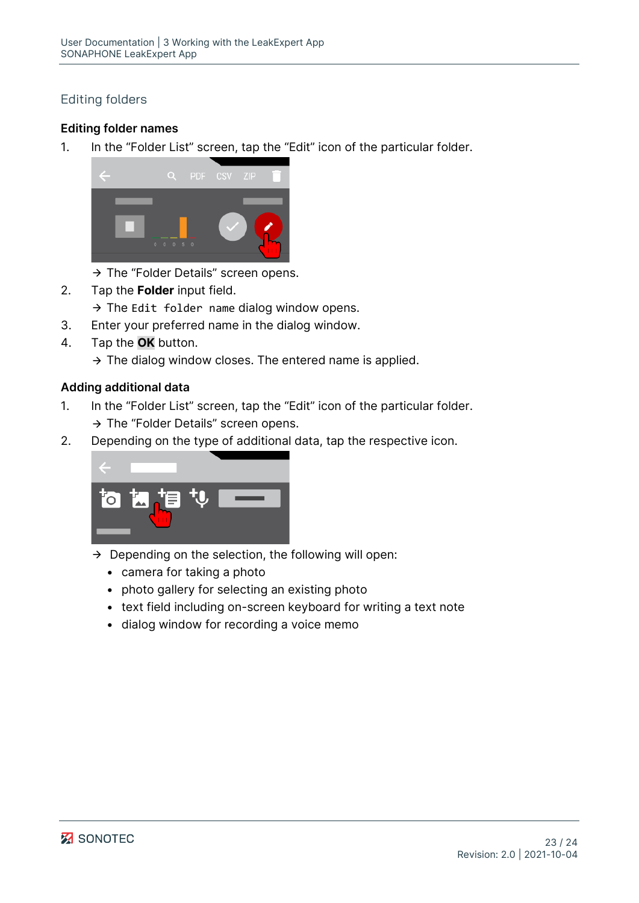## Editing folders

## **Editing folder names**

1. In the "Folder List" screen, tap the "Edit" icon of the particular folder.



- $\rightarrow$  The ["Folder Details"](#page-12-0) screen opens.
- 2. Tap the **Folder** input field.
	- $\rightarrow$  The Edit folder name dialog window opens.
- 3. Enter your preferred name in the dialog window.
- 4. Tap the **OK** button.

 $\rightarrow$  The dialog window closes. The entered name is applied.

#### **Adding additional data**

- 1. In the "Folder List" screen, tap the "Edit" icon of the particular folder.  $\rightarrow$  The "Folder Details" screen opens.
- 2. Depending on the type of additional data, tap the respective icon.



- $\rightarrow$  Depending on the selection, the following will open:
	- camera for taking a photo
	- photo gallery for selecting an existing photo
	- text field including on-screen keyboard for writing a text note
	- dialog window for recording a voice memo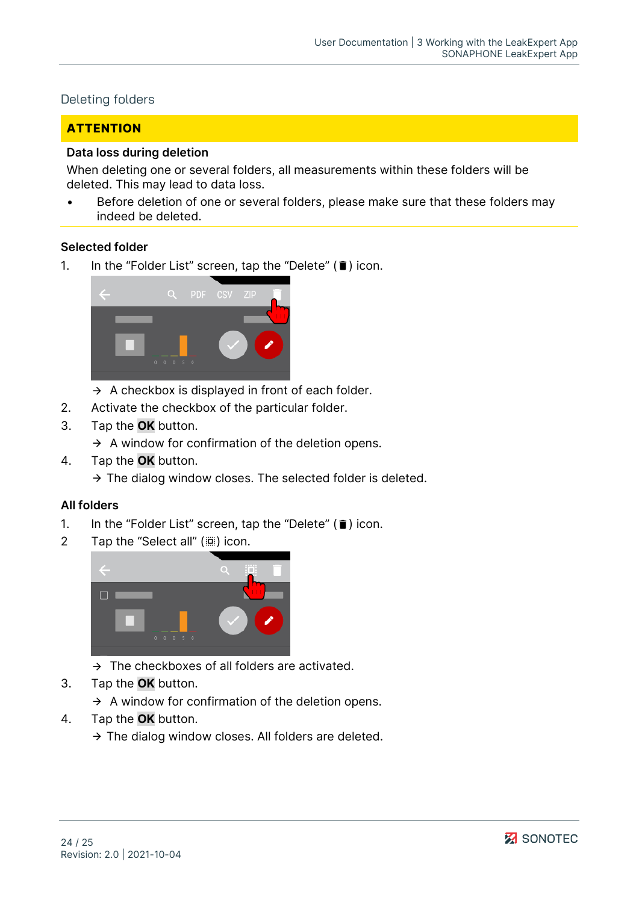#### Deleting folders

## **ATTENTION**

#### **Data loss during deletion**

When deleting one or several folders, all measurements within these folders will be deleted. This may lead to data loss.

Before deletion of one or several folders, please make sure that these folders may indeed be deleted.

#### **Selected folder**

1. In the "Folder List" screen, tap the "Delete"  $(\hat{\bullet})$  icon.



- $\rightarrow$  A checkbox is displayed in front of each folder.
- 2. Activate the checkbox of the particular folder.
- 3. Tap the **OK** button.
	- $\rightarrow$  A window for confirmation of the deletion opens.
- 4. Tap the **OK** button.
	- $\rightarrow$  The dialog window closes. The selected folder is deleted.

#### **All folders**

- 1. In the "Folder List" screen, tap the "Delete"  $(\hat{\bullet})$  icon.
- 2 Tap the "Select all" (() icon.



- $\rightarrow$  The checkboxes of all folders are activated.
- 3. Tap the **OK** button.
	- $\rightarrow$  A window for confirmation of the deletion opens.
- 4. Tap the **OK** button.
	- $\rightarrow$  The dialog window closes. All folders are deleted.

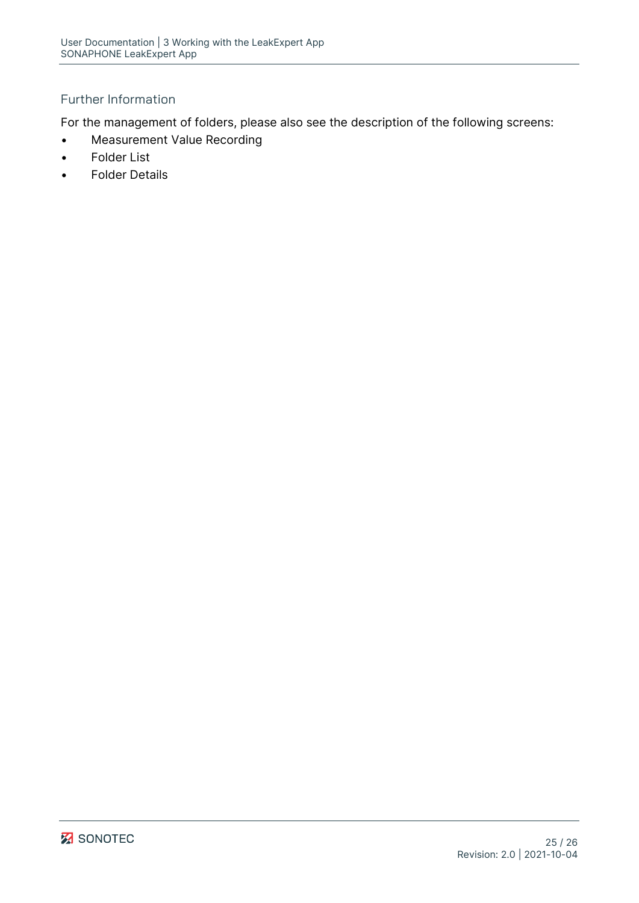## Further Information

For the management of folders, please also see the description of the following screens:

- [Measurement Value Recording](#page-5-1)
- **[Folder List](#page-10-0)**
- [Folder Details](#page-12-0)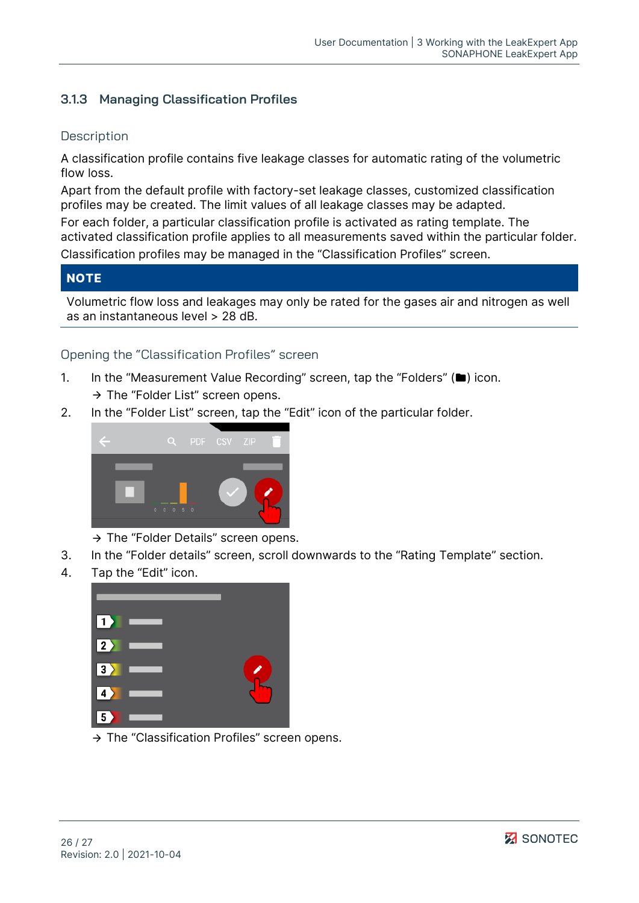## <span id="page-25-0"></span>**3.1.3 Managing Classification Profiles**

## **Description**

A classification profile contains five leakage classes for automatic rating of the volumetric flow loss.

Apart from the default profile with factory-set leakage classes, customized classification profiles may be created. The limit values of all leakage classes may be adapted.

For each folder, a particular classification profile is activated as rating template. The activated classification profile applies to all measurements saved within the particular folder. Classification profiles may be managed in the ["Classification Profiles"](#page-14-0) screen.

## **NOTE**

Volumetric flow loss and leakages may only be rated for the gases air and nitrogen as well as an instantaneous level > 28 dB.

## Opening the "Classification Profiles" screen

- 1. In the "Measurement [Value Recording"](#page-5-1) screen, tap the "Folders" (**)** icon.  $\rightarrow$  The ["Folder List"](#page-10-0) screen opens.
- 2. In the "Folder List" screen, tap the "Edit" icon of the particular folder.



 $\rightarrow$  The ["Folder Details"](#page-12-0) screen opens.

- 3. In the "Folder details" screen, scroll downwards to the "Rating Template" section.
- 4. Tap the "Edit" icon.



 $\rightarrow$  The "Classification Profiles" screen opens.

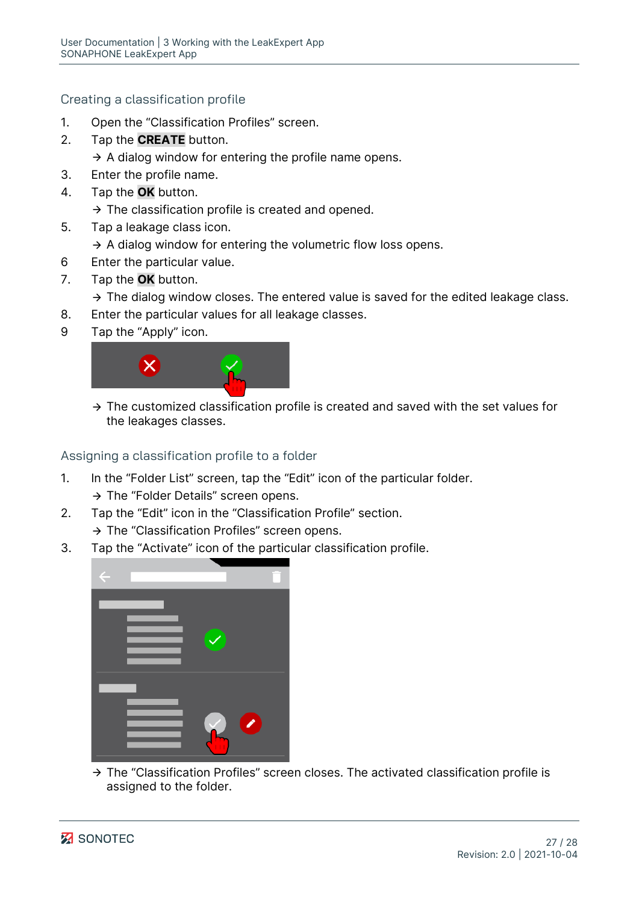Creating a classification profile

- 1. Open the "Classification Profiles" screen.
- 2. Tap the **CREATE** button.
	- $\rightarrow$  A dialog window for entering the profile name opens.
- 3. Enter the profile name.
- 4. Tap the **OK** button.
	- $\rightarrow$  The classification profile is created and opened.
- 5. Tap a leakage class icon.
	- $\rightarrow$  A dialog window for entering the volumetric flow loss opens.
- 6 Enter the particular value.
- 7. Tap the **OK** button.
	- $\rightarrow$  The dialog window closes. The entered value is saved for the edited leakage class.
- 8. Enter the particular values for all leakage classes.
- 9 Tap the "Apply" icon.



 $\rightarrow$  The customized classification profile is created and saved with the set values for the leakages classes.

Assigning a classification profile to a folder

- 1. In the "Folder List" screen, tap the "Edit" icon of the particular folder.
	- $\rightarrow$  The "Folder Details" screen opens.
- 2. Tap the "Edit" icon in the "Classification Profile" section.
	- $\rightarrow$  The "Classification Profiles" screen opens.
- 3. Tap the "Activate" icon of the particular classification profile.



 $\rightarrow$  The "Classification Profiles" screen closes. The activated classification profile is assigned to the folder.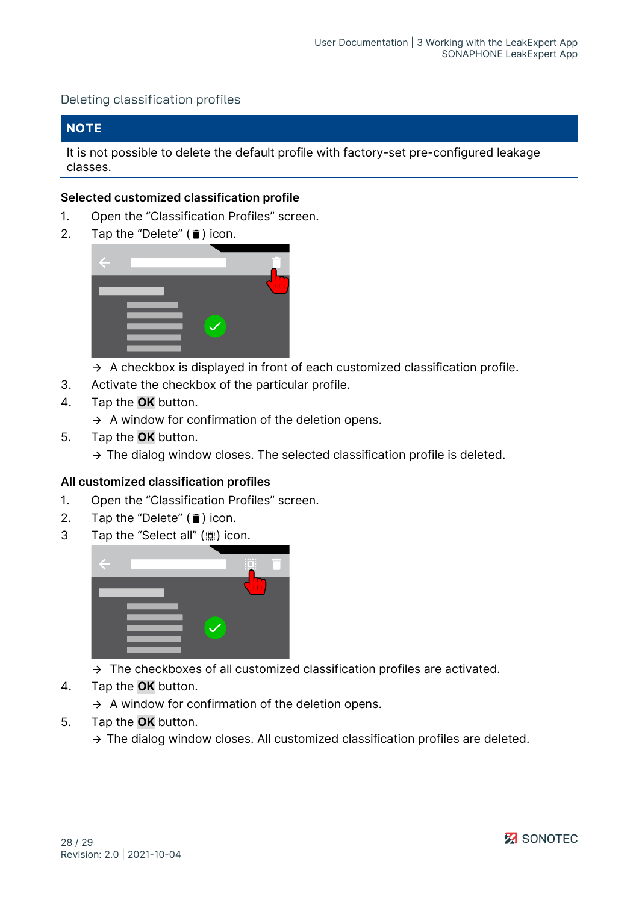#### Deleting classification profiles

#### **NOTE**

It is not possible to delete the default profile with factory-set pre-configured leakage classes.

#### **Selected customized classification profile**

- 1. Open the "Classification Profiles" screen.
- 2. Tap the "Delete"  $(\bar{\mathbf{i}})$  icon.



- $\rightarrow$  A checkbox is displayed in front of each customized classification profile.
- 3. Activate the checkbox of the particular profile.
- 4. Tap the **OK** button.

 $\rightarrow$  A window for confirmation of the deletion opens.

- 5. Tap the **OK** button.
	- $\rightarrow$  The dialog window closes. The selected classification profile is deleted.

#### **All customized classification profiles**

- 1. Open the "Classification Profiles" screen.
- 2. Tap the "Delete"  $(\blacksquare)$  icon.
- 3 Tap the "Select all" ((iiii) icon.



- $\rightarrow$  The checkboxes of all customized classification profiles are activated.
- 4. Tap the **OK** button.
	- $\rightarrow$  A window for confirmation of the deletion opens.
- 5. Tap the **OK** button.
	- $\rightarrow$  The dialog window closes. All customized classification profiles are deleted.

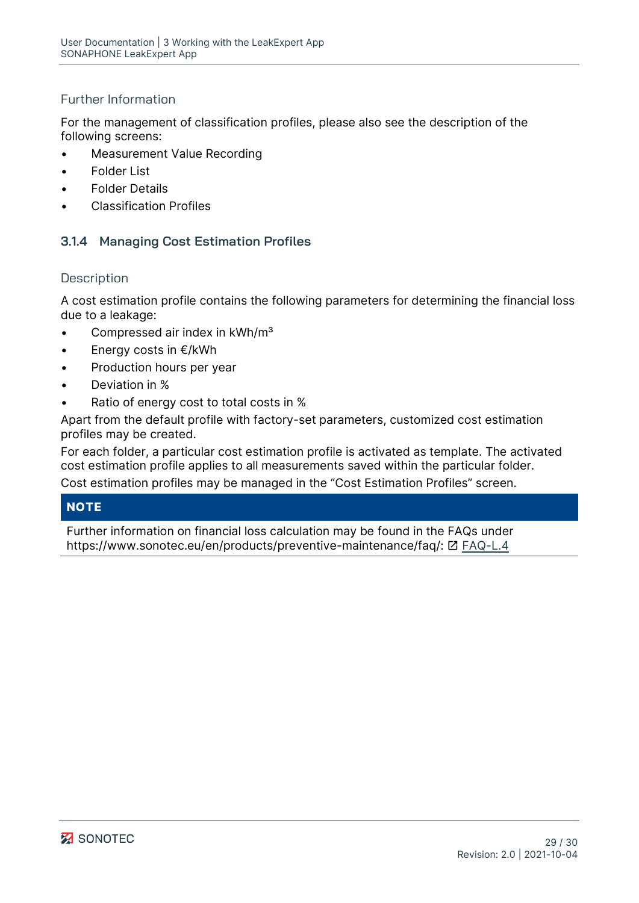## Further Information

For the management of classification profiles, please also see the description of the following screens:

- [Measurement Value Recording](#page-5-1)
- **[Folder List](#page-10-0)**
- **[Folder Details](#page-12-0)**
- [Classification Profiles](#page-14-0)

## <span id="page-28-0"></span>**3.1.4 Managing Cost Estimation Profiles**

#### **Description**

A cost estimation profile contains the following parameters for determining the financial loss due to a leakage:

- Compressed air index in kWh/m<sup>3</sup>
- Energy costs in €/kWh
- Production hours per year
- Deviation in %
- Ratio of energy cost to total costs in %

Apart from the default profile with factory-set parameters, customized cost estimation profiles may be created.

For each folder, a particular cost estimation profile is activated as template. The activated cost estimation profile applies to all measurements saved within the particular folder. Cost estimation profiles may be managed in the ["Cost Estimation Profiles"](#page-16-0) screen.

## **NOTE**

Further information on financial loss calculation may be found in the FAQs under https://www.sonotec.eu/en/products/preventive-maintenance/faq/: [Z] [FAQ-L.4](https://www.sonotec.de/produkte/vorbeugende-instandhaltung/faq/faq-l4/)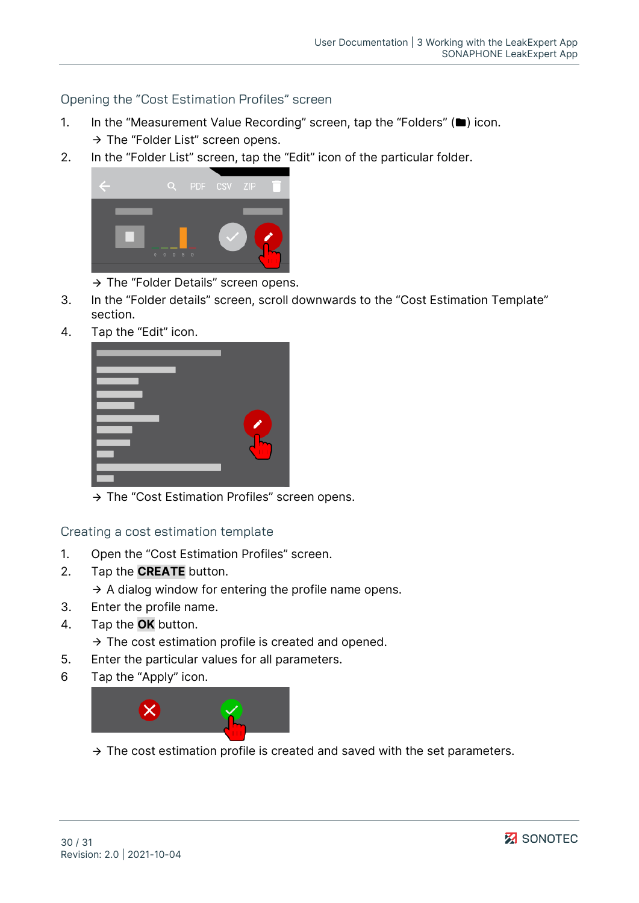Opening the "Cost Estimation Profiles" screen

- 1. In the ["Measurement Value Recording"](#page-5-1) screen, tap the "Folders" (**)** icon.
	- $\rightarrow$  The ["Folder List"](#page-10-0) screen opens.
- 2. In the "Folder List" screen, tap the "Edit" icon of the particular folder.



- $\rightarrow$  The ["Folder Details"](#page-12-0) screen opens.
- 3. In the "Folder details" screen, scroll downwards to the "Cost Estimation Template" section.
- 4. Tap the "Edit" icon.



 $\rightarrow$  The "Cost Estimation Profiles" screen opens.

Creating a cost estimation template

- 1. Open the "Cost Estimation Profiles" screen.
- 2. Tap the **CREATE** button.

 $\rightarrow$  A dialog window for entering the profile name opens.

- 3. Enter the profile name.
- 4. Tap the **OK** button.
	- $\rightarrow$  The cost estimation profile is created and opened.
- 5. Enter the particular values for all parameters.
- 6 Tap the "Apply" icon.



 $\rightarrow$  The cost estimation profile is created and saved with the set parameters.

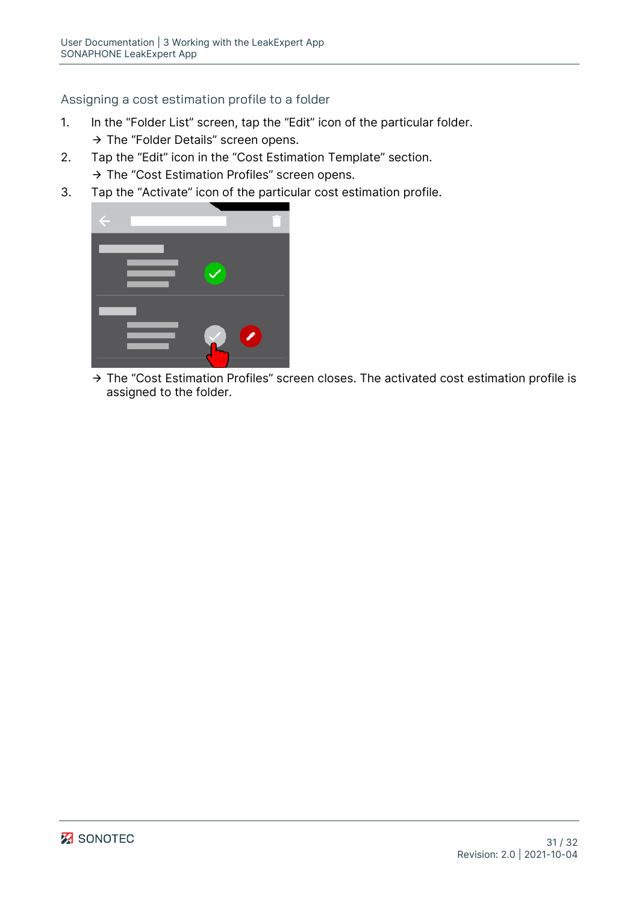## Assigning a cost estimation profile to a folder

- 1. In the "Folder List" screen, tap the "Edit" icon of the particular folder.
	- $\rightarrow$  The "Folder Details" screen opens.
- 2. Tap the "Edit" icon in the "Cost Estimation Template" section.
	- $\rightarrow$  The "Cost Estimation Profiles" screen opens.
- 3. Tap the "Activate" icon of the particular cost estimation profile.

→ The "Cost Estimation Profiles" screen closes. The activated cost estimation profile is assigned to the folder.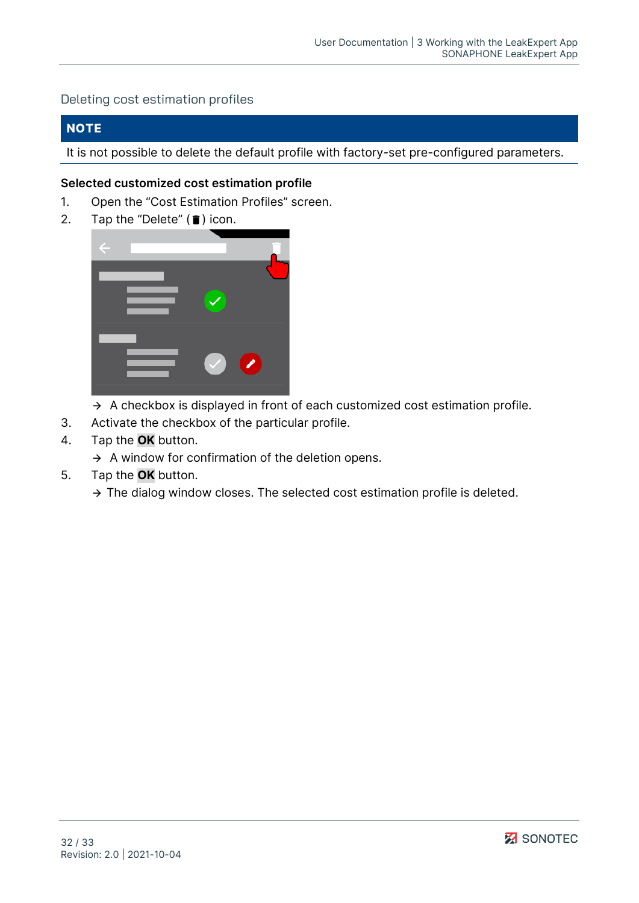#### Deleting cost estimation profiles

### **NOTE**

It is not possible to delete the default profile with factory-set pre-configured parameters.

#### **Selected customized cost estimation profile**

- 1. Open the "Cost Estimation Profiles" screen.
- 2. Tap the "Delete"  $(\blacksquare)$  icon.



- $\rightarrow$  A checkbox is displayed in front of each customized cost estimation profile.
- 3. Activate the checkbox of the particular profile.
- 4. Tap the **OK** button.
	- $\rightarrow$  A window for confirmation of the deletion opens.
- 5. Tap the **OK** button.
	- $\rightarrow$  The dialog window closes. The selected cost estimation profile is deleted.

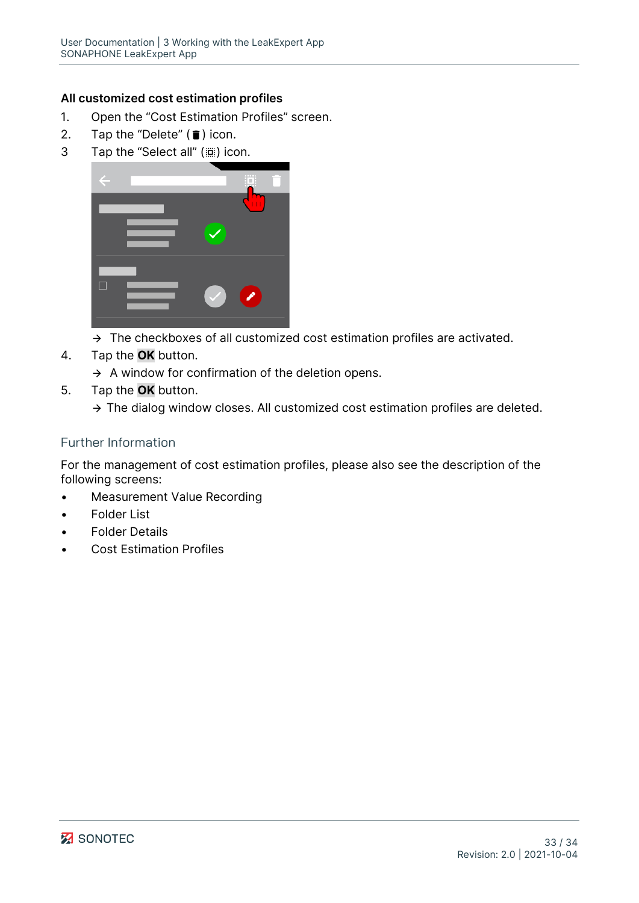## **All customized cost estimation profiles**

- 1. Open the "Cost Estimation Profiles" screen.
- 2. Tap the "Delete"  $(\bar{\mathbf{i}})$  icon.
- 3 Tap the "Select all" ( $\dddot{w}$ ) icon.



- $\rightarrow$  The checkboxes of all customized cost estimation profiles are activated.
- 4. Tap the **OK** button.
	- $\rightarrow$  A window for confirmation of the deletion opens.
- 5. Tap the **OK** button.
	- $\rightarrow$  The dialog window closes. All customized cost estimation profiles are deleted.

## Further Information

For the management of cost estimation profiles, please also see the description of the following screens:

- [Measurement Value Recording](#page-5-1)
- [Folder List](#page-10-0)
- **[Folder Details](#page-12-0)**
- [Cost Estimation Profiles](#page-16-0)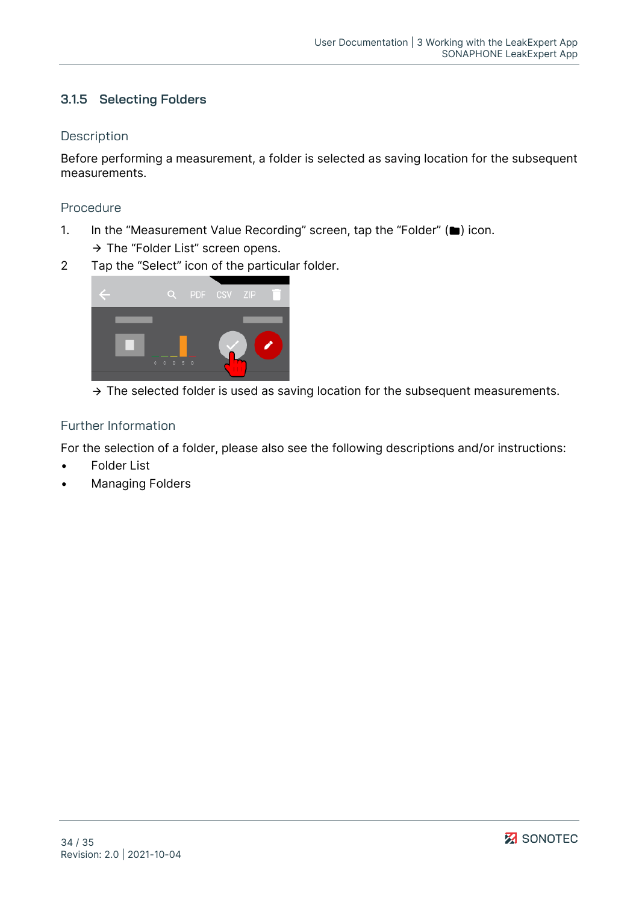## <span id="page-33-0"></span>**3.1.5 Selecting Folders**

### **Description**

Before performing a measurement, a folder is selected as saving location for the subsequent measurements.

### Procedure

- 1. In the "Measurement Value Recording" screen, tap the "Folder" ( $\blacksquare$ ) icon.
	- $\rightarrow$  The "Folder List" screen opens.
- 2 Tap the "Select" icon of the particular folder.



 $\rightarrow$  The selected folder is used as saving location for the subsequent measurements.

## Further Information

For the selection of a folder, please also see the following descriptions and/or instructions:

- [Folder List](#page-10-0)
- **[Managing Folders](#page-21-3)**

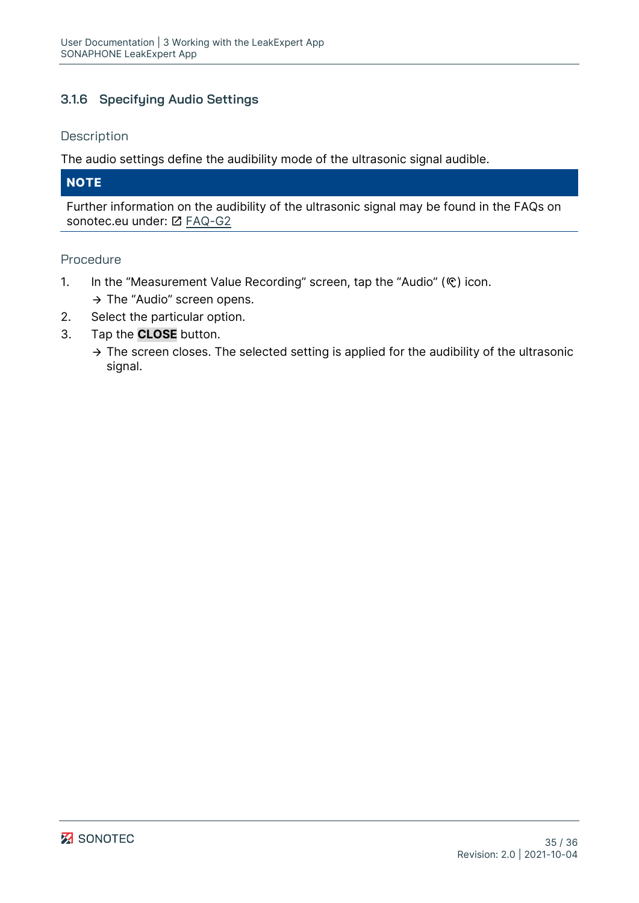## <span id="page-34-0"></span>**3.1.6 Specifying Audio Settings**

#### **Description**

The audio settings define the audibility mode of the ultrasonic signal audible.

## **NOTE**

Further information on the audibility of the ultrasonic signal may be found in the FAQs on sonotec.eu under: [Z] [FAQ-G2](https://www.sonotec.de/produkte/vorbeugende-instandhaltung/faq/faq-g2/)

#### Procedure

- 1. In the ["Measurement Value Recording"](#page-5-1) screen, tap the "Audio" ( $\mathcal{R}$ ) icon.  $\rightarrow$  The "Audio" screen opens.
- 2. Select the particular option.
- 3. Tap the **CLOSE** button.
	- $\rightarrow$  The screen closes. The selected setting is applied for the audibility of the ultrasonic signal.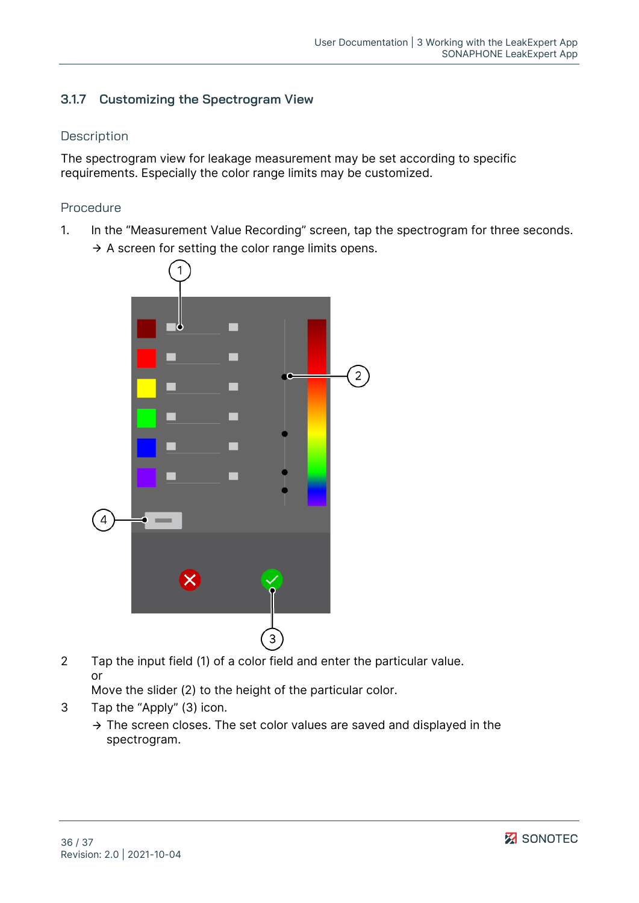## <span id="page-35-0"></span>**3.1.7 Customizing the Spectrogram View**

### **Description**

The spectrogram view for leakage measurement may be set according to specific requirements. Especially the color range limits may be customized.

### Procedure

1. In the ["Measurement Value Recording"](#page-5-1) screen, tap the spectrogram for three seconds.  $\rightarrow$  A screen for setting the color range limits opens.



2 Tap the input field (1) of a color field and enter the particular value. or

Move the slider (2) to the height of the particular color.

- 3 Tap the "Apply" (3) icon.
	- $\rightarrow$  The screen closes. The set color values are saved and displayed in the spectrogram.

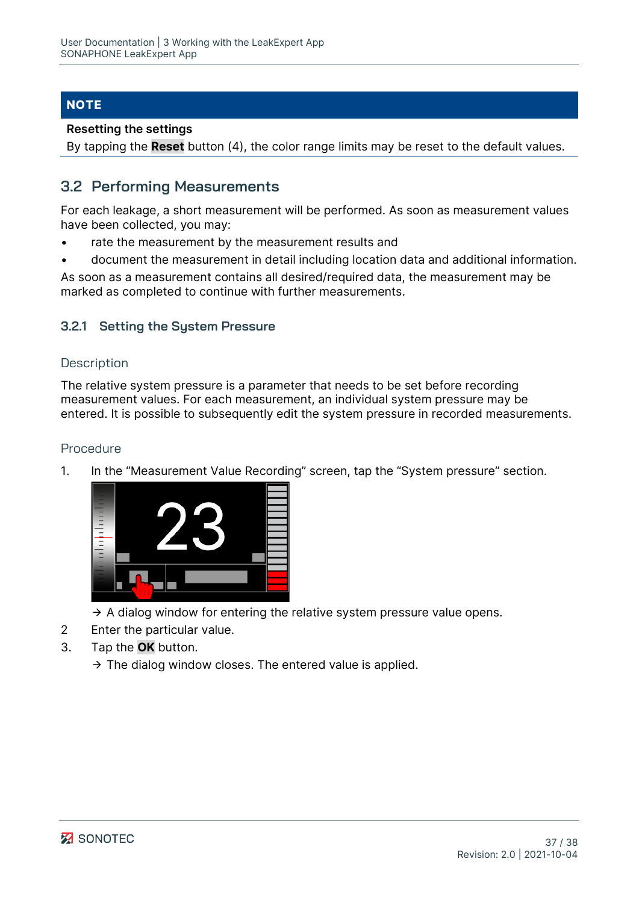## **NOTE**

#### **Resetting the settings**

<span id="page-36-0"></span>By tapping the **Reset** button (4), the color range limits may be reset to the default values.

## **3.2 Performing Measurements**

For each leakage, a short measurement will be performed. As soon as measurement values have been collected, you may:

- rate the measurement by the measurement results and
- document the measurement in detail including location data and additional information.

As soon as a measurement contains all desired/required data, the measurement may be marked as completed to continue with further measurements.

## <span id="page-36-1"></span>**3.2.1 Setting the System Pressure**

#### **Description**

The relative system pressure is a parameter that needs to be set before recording measurement values. For each measurement, an individual system pressure may be entered. It is possible to subsequently edit the system pressure in recorded measurements.

#### Procedure

1. In the ["Measurement Value Recording"](#page-5-1) screen, tap the "System pressure" section.



- $\rightarrow$  A dialog window for entering the relative system pressure value opens.
- 2 Enter the particular value.
- 3. Tap the **OK** button.
	- $\rightarrow$  The dialog window closes. The entered value is applied.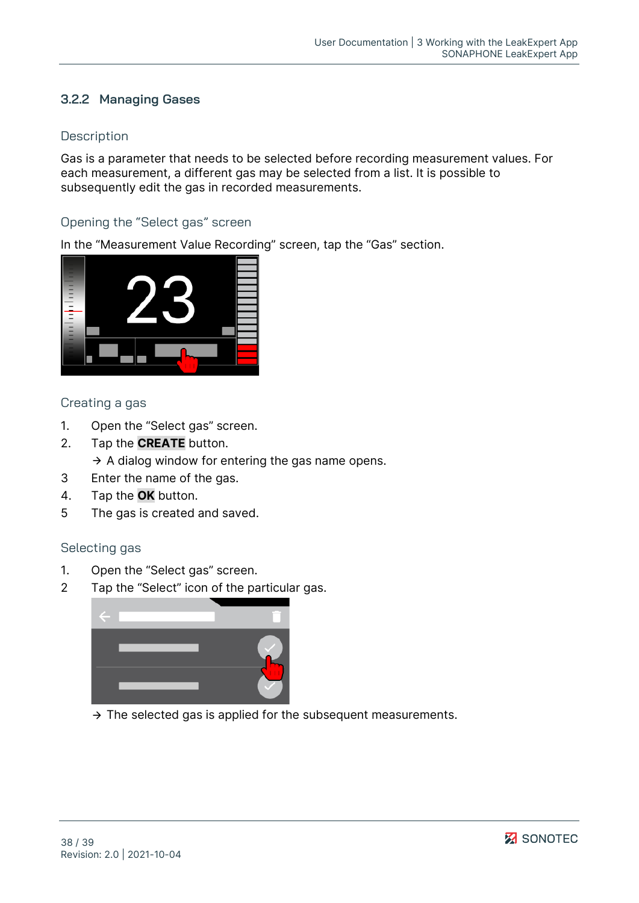## <span id="page-37-0"></span>**3.2.2 Managing Gases**

### **Description**

Gas is a parameter that needs to be selected before recording measurement values. For each measurement, a different gas may be selected from a list. It is possible to subsequently edit the gas in recorded measurements.

## Opening the "Select gas" screen

In the ["Measurement Value Recording"](#page-5-1) screen, tap the "Gas" section.



## Creating a gas

- 1. Open the "Select gas" screen.
- 2. Tap the **CREATE** button.
	- $\rightarrow$  A dialog window for entering the gas name opens.
- 3 Enter the name of the gas.
- 4. Tap the **OK** button.
- 5 The gas is created and saved.

#### Selecting gas

- 1. Open the "Select gas" screen.
- 2 Tap the "Select" icon of the particular gas.



 $\rightarrow$  The selected gas is applied for the subsequent measurements.

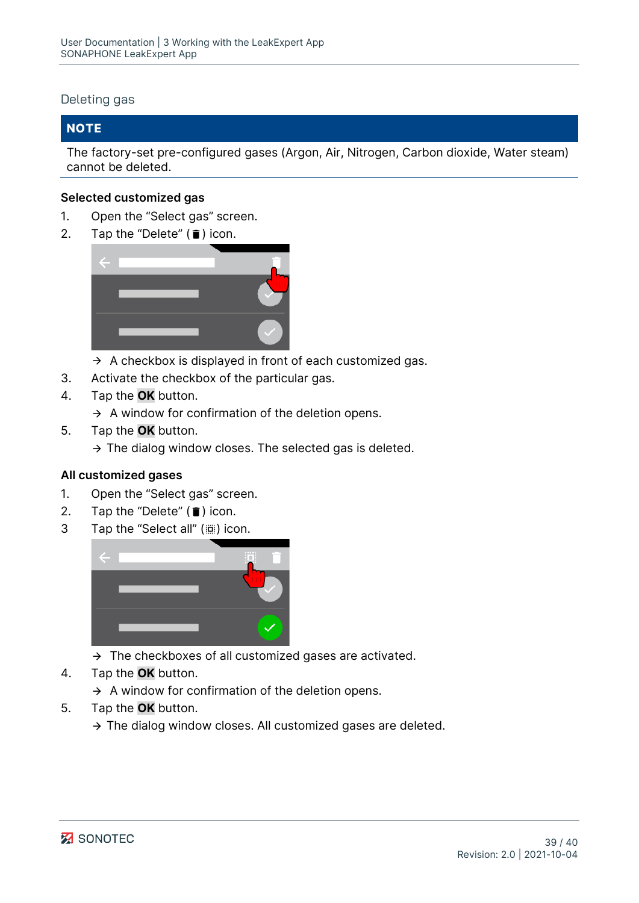#### Deleting gas

## **NOTE**

The factory-set pre-configured gases (Argon, Air, Nitrogen, Carbon dioxide, Water steam) cannot be deleted.

### **Selected customized gas**

- 1. Open the "Select gas" screen.
- 2. Tap the "Delete"  $(\bar{\mathbf{i}})$  icon.



- $\rightarrow$  A checkbox is displayed in front of each customized gas.
- 3. Activate the checkbox of the particular gas.
- 4. Tap the **OK** button.
	- $\rightarrow$  A window for confirmation of the deletion opens.
- 5. Tap the **OK** button.
	- $\rightarrow$  The dialog window closes. The selected gas is deleted.

#### **All customized gases**

- 1. Open the "Select gas" screen.
- 2. Tap the "Delete"  $(\hat{\bullet})$  icon.
- 3 Tap the "Select all" ((iiii) icon.



- $\rightarrow$  The checkboxes of all customized gases are activated.
- 4. Tap the **OK** button.
	- $\rightarrow$  A window for confirmation of the deletion opens.
- 5. Tap the **OK** button.
	- $\rightarrow$  The dialog window closes. All customized gases are deleted.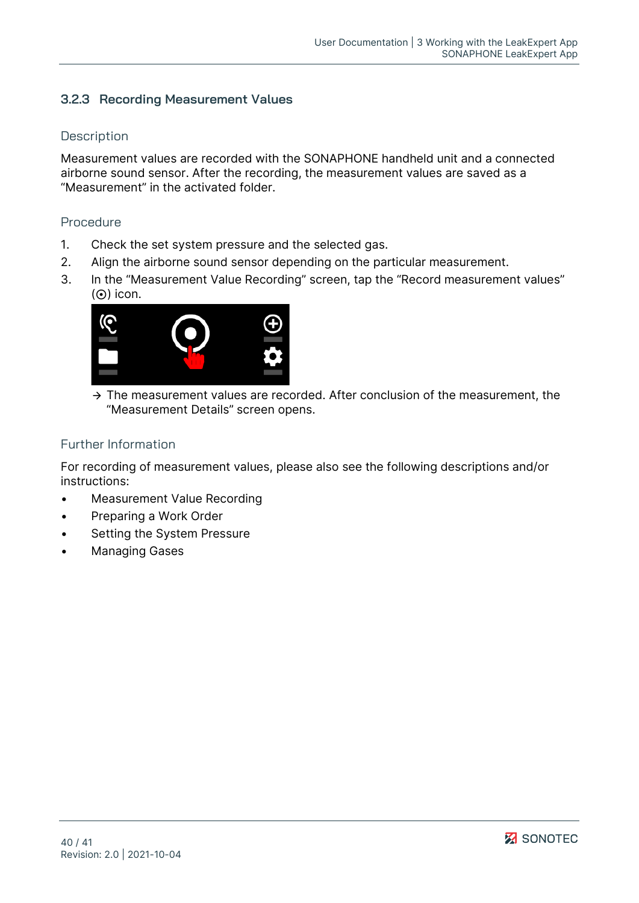## <span id="page-39-0"></span>**3.2.3 Recording Measurement Values**

#### **Description**

Measurement values are recorded with the SONAPHONE handheld unit and a connected airborne sound sensor. After the recording, the measurement values are saved as a "Measurement" in the activated folder.

#### Procedure

- 1. Check the set system pressure and the selected gas.
- 2. Align the airborne sound sensor depending on the particular measurement.
- 3. In the "Measurement Value Recording" screen, tap the "Record measurement values"  $(O)$  icon.



 $\rightarrow$  The measurement values are recorded. After conclusion of the measurement, the "Measurement Details" screen opens.

#### Further Information

For recording of measurement values, please also see the following descriptions and/or instructions:

- [Measurement Value Recording](#page-5-1)
- [Preparing a Work Order](#page-21-1)
- [Setting the System Pressure](#page-36-1)
- [Managing Gases](#page-37-0)

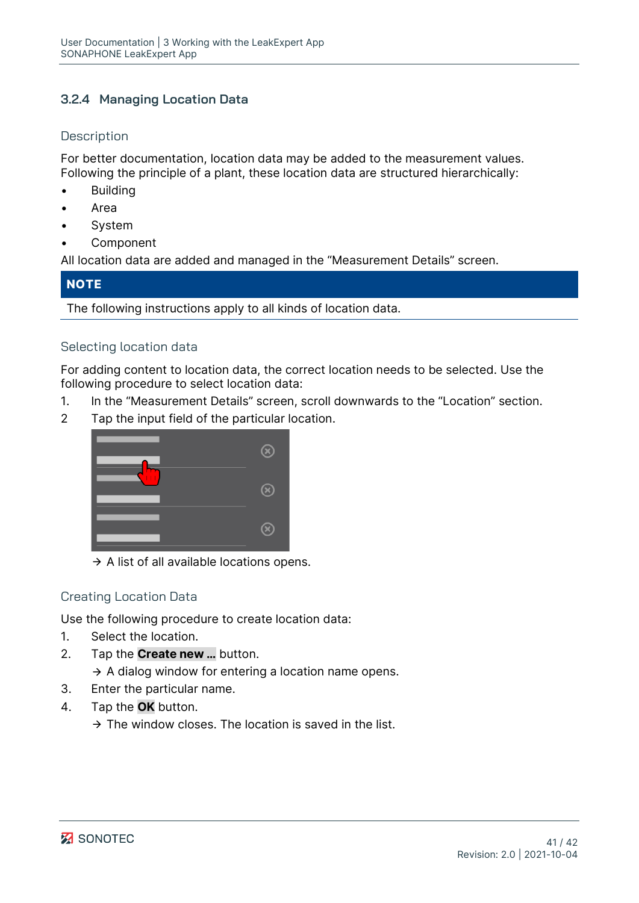## <span id="page-40-0"></span>**3.2.4 Managing Location Data**

## **Description**

For better documentation, location data may be added to the measurement values. Following the principle of a plant, these location data are structured hierarchically:

- **Building**
- Area
- **System**
- **Component**

All location data are added and managed in the ["Measurement Details"](#page-7-0) screen.

## **NOTE**

The following instructions apply to all kinds of location data.

## Selecting location data

For adding content to location data, the correct location needs to be selected. Use the following procedure to select location data:

- 1. In the ["Measurement Details"](#page-7-0) screen, scroll downwards to the "Location" section.
- 2 Tap the input field of the particular location.



 $\rightarrow$  A list of all available locations opens.

## Creating Location Data

Use the following procedure to create location data:

- 1. Select the location.
- 2. Tap the **Create new …** button.

 $\rightarrow$  A dialog window for entering a location name opens.

- 3. Enter the particular name.
- 4. Tap the **OK** button.
	- $\rightarrow$  The window closes. The location is saved in the list.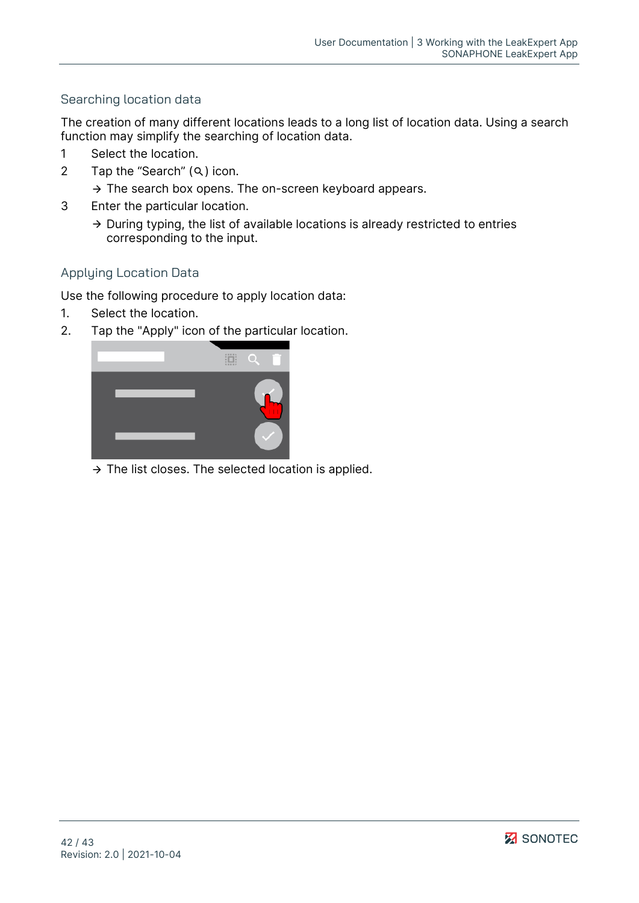## Searching location data

The creation of many different locations leads to a long list of location data. Using a search function may simplify the searching of location data.

- 1 Select the location.
- 2 Tap the "Search"  $(Q)$  icon.
	- $\rightarrow$  The search box opens. The on-screen keyboard appears.
- 3 Enter the particular location.
	- $\rightarrow$  During typing, the list of available locations is already restricted to entries corresponding to the input.

## Applying Location Data

Use the following procedure to apply location data:

- 1. Select the location.
- 2. Tap the "Apply" icon of the particular location.



 $\rightarrow$  The list closes. The selected location is applied.

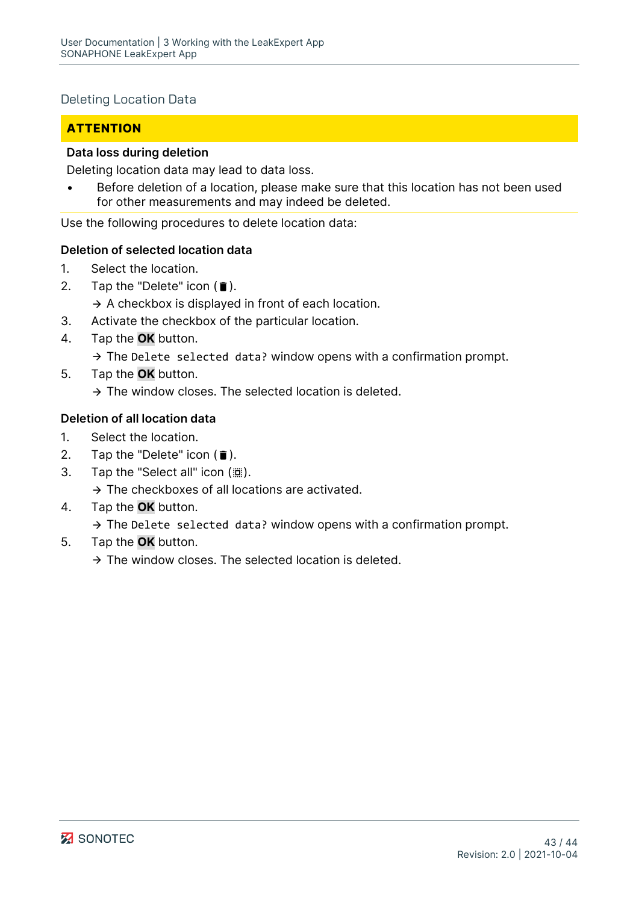## Deleting Location Data

## **ATTENTION**

#### **Data loss during deletion**

Deleting location data may lead to data loss.

Before deletion of a location, please make sure that this location has not been used for other measurements and may indeed be deleted.

Use the following procedures to delete location data:

#### **Deletion of selected location data**

- 1. Select the location.
- 2. Tap the "Delete" icon  $(\bar{\bullet})$ .

 $\rightarrow$  A checkbox is displayed in front of each location.

- 3. Activate the checkbox of the particular location.
- 4. Tap the **OK** button.
	- $\rightarrow$  The Delete selected data? window opens with a confirmation prompt.
- 5. Tap the **OK** button.
	- $\rightarrow$  The window closes. The selected location is deleted.

## **Deletion of all location data**

- 1. Select the location.
- 2. Tap the "Delete" icon  $(\bar{\bullet})$ .
- 3. Tap the "Select all" icon ( $\dddot{m}$ ).
	- $\rightarrow$  The checkboxes of all locations are activated.
- 4. Tap the **OK** button.

 $\rightarrow$  The Delete selected data? window opens with a confirmation prompt.

5. Tap the **OK** button.

 $\rightarrow$  The window closes. The selected location is deleted.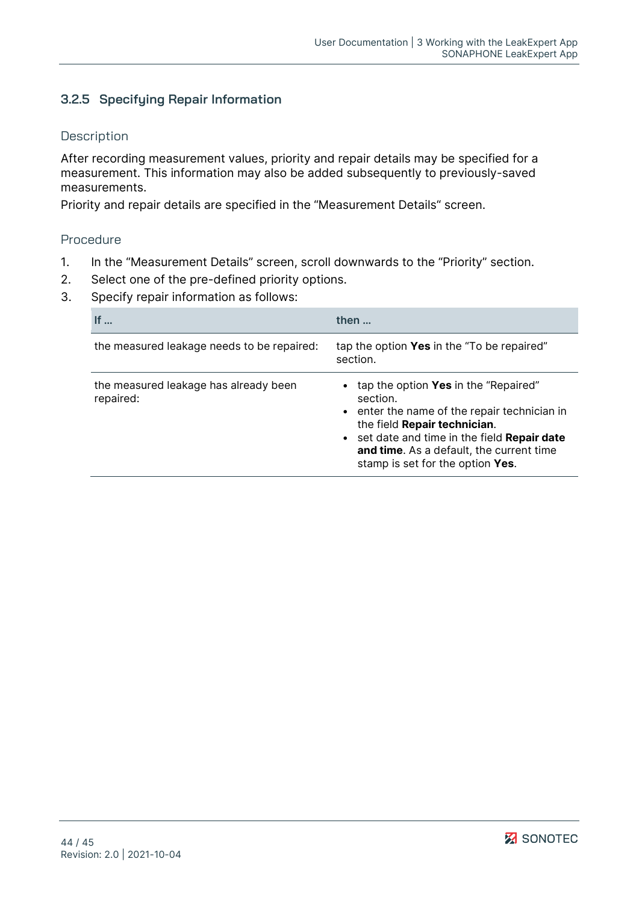## <span id="page-43-0"></span>**3.2.5 Specifying Repair Information**

#### **Description**

After recording measurement values, priority and repair details may be specified for a measurement. This information may also be added subsequently to previously-saved measurements.

Priority and repair details are specified in the ["Measurement Details"](#page-7-0) screen.

#### Procedure

- 1. In the "Measurement Details" screen, scroll downwards to the "Priority" section.
- 2. Select one of the pre-defined priority options.
- 3. Specify repair information as follows:

| If $\ldots$                                        | then                                                                                                                                                                                                                                                             |
|----------------------------------------------------|------------------------------------------------------------------------------------------------------------------------------------------------------------------------------------------------------------------------------------------------------------------|
| the measured leakage needs to be repaired:         | tap the option Yes in the "To be repaired"<br>section.                                                                                                                                                                                                           |
| the measured leakage has already been<br>repaired: | tap the option Yes in the "Repaired"<br>section.<br>• enter the name of the repair technician in<br>the field Repair technician.<br>• set date and time in the field Repair date<br>and time. As a default, the current time<br>stamp is set for the option Yes. |

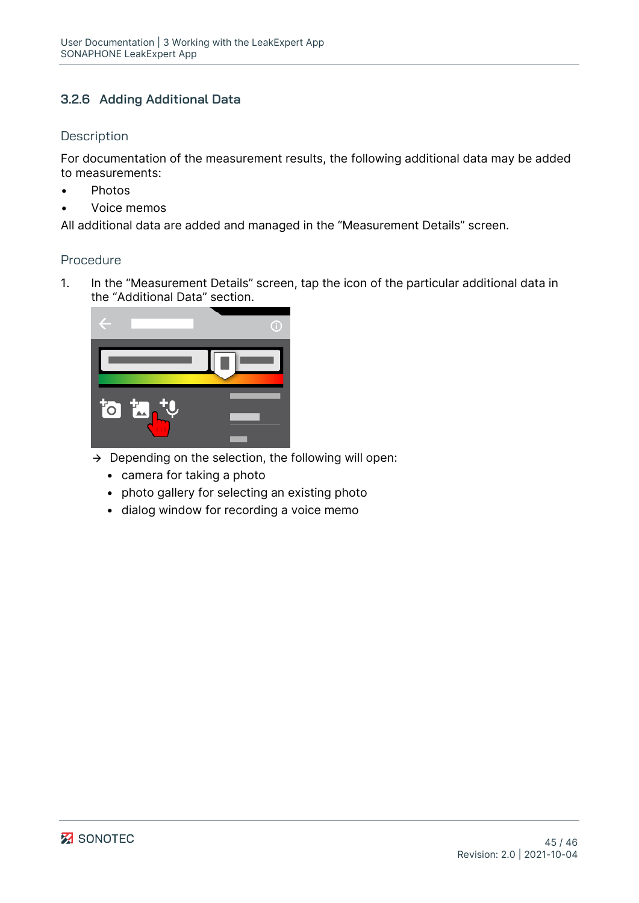## <span id="page-44-0"></span>**3.2.6 Adding Additional Data**

#### **Description**

For documentation of the measurement results, the following additional data may be added to measurements:

- Photos
- Voice memos

All additional data are added and managed in the ["Measurement Details"](#page-7-0) screen.

#### Procedure

1. In the "Measurement Details" screen, tap the icon of the particular additional data in the "Additional Data" section.



- $\rightarrow$  Depending on the selection, the following will open:
	- camera for taking a photo
	- photo gallery for selecting an existing photo
	- dialog window for recording a voice memo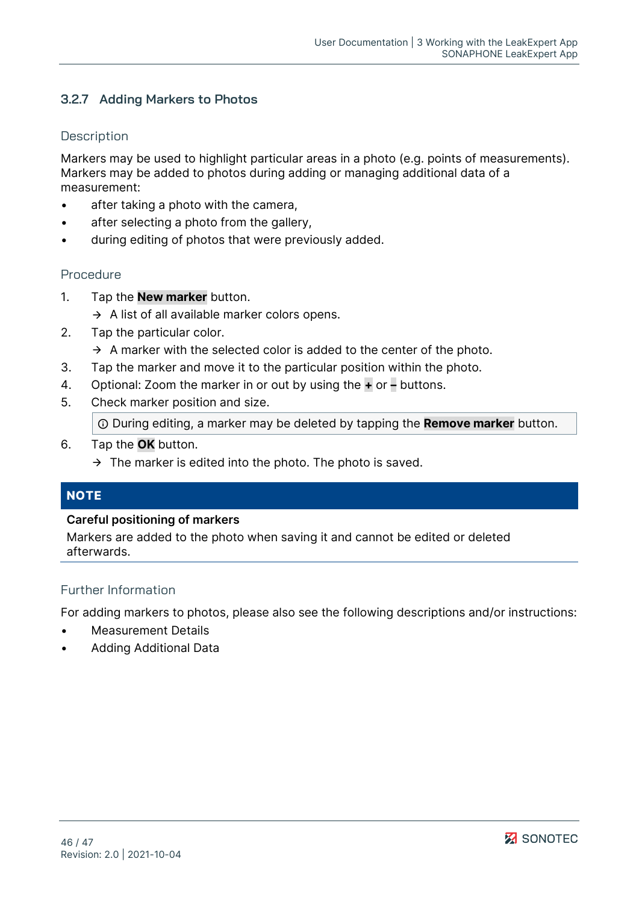## <span id="page-45-0"></span>**3.2.7 Adding Markers to Photos**

#### **Description**

Markers may be used to highlight particular areas in a photo (e.g. points of measurements). Markers may be added to photos during adding or managing additional data of a measurement:

- after taking a photo with the camera,
- after selecting a photo from the gallery,
- during editing of photos that were previously added.

#### Procedure

- 1. Tap the **New marker** button.
	- $\rightarrow$  A list of all available marker colors opens.
- 2. Tap the particular color.
	- $\rightarrow$  A marker with the selected color is added to the center of the photo.
- 3. Tap the marker and move it to the particular position within the photo.
- 4. Optional: Zoom the marker in or out by using the **+** or **–** buttons.
- 5. Check marker position and size.

During editing, a marker may be deleted by tapping the **Remove marker** button.

- 6. Tap the **OK** button.
	- $\rightarrow$  The marker is edited into the photo. The photo is saved.

## **NOTE**

#### **Careful positioning of markers**

Markers are added to the photo when saving it and cannot be edited or deleted afterwards.

#### Further Information

For adding markers to photos, please also see the following descriptions and/or instructions:

- [Measurement Details](#page-7-0)
- [Adding Additional Data](#page-44-0)

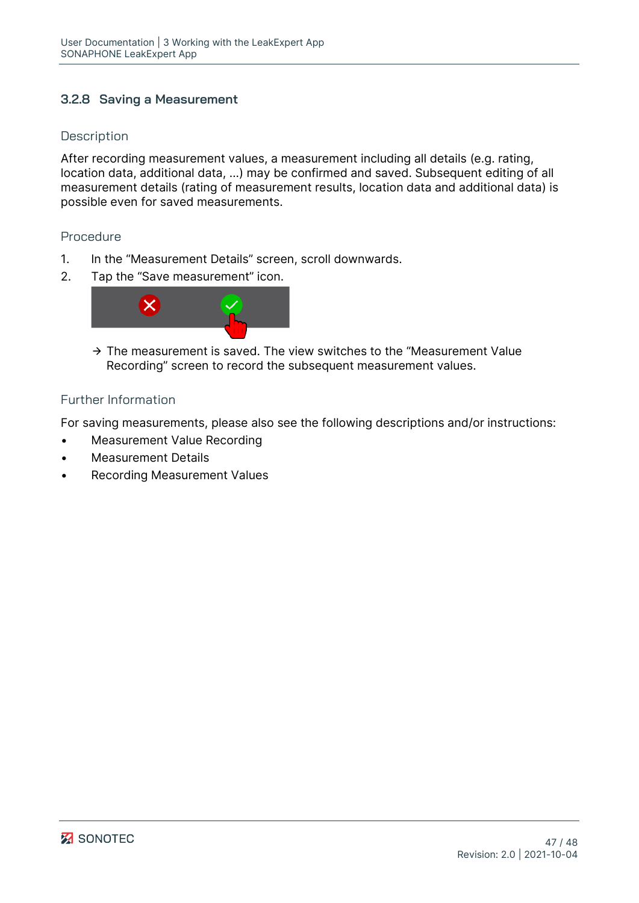## <span id="page-46-0"></span>**3.2.8 Saving a Measurement**

#### **Description**

After recording measurement values, a measurement including all details (e.g. rating, location data, additional data, ...) may be confirmed and saved. Subsequent editing of all measurement details (rating of measurement results, location data and additional data) is possible even for saved measurements.

#### Procedure

- 1. In the "Measurement Details" screen, scroll downwards.
- 2. Tap the "Save measurement" icon.



 $\rightarrow$  The measurement is saved. The view switches to the "Measurement Value Recording" screen to record the subsequent measurement values.

#### Further Information

For saving measurements, please also see the following descriptions and/or instructions:

- [Measurement Value Recording](#page-5-1)
- [Measurement Details](#page-7-0)
- [Recording Measurement Values](#page-39-0)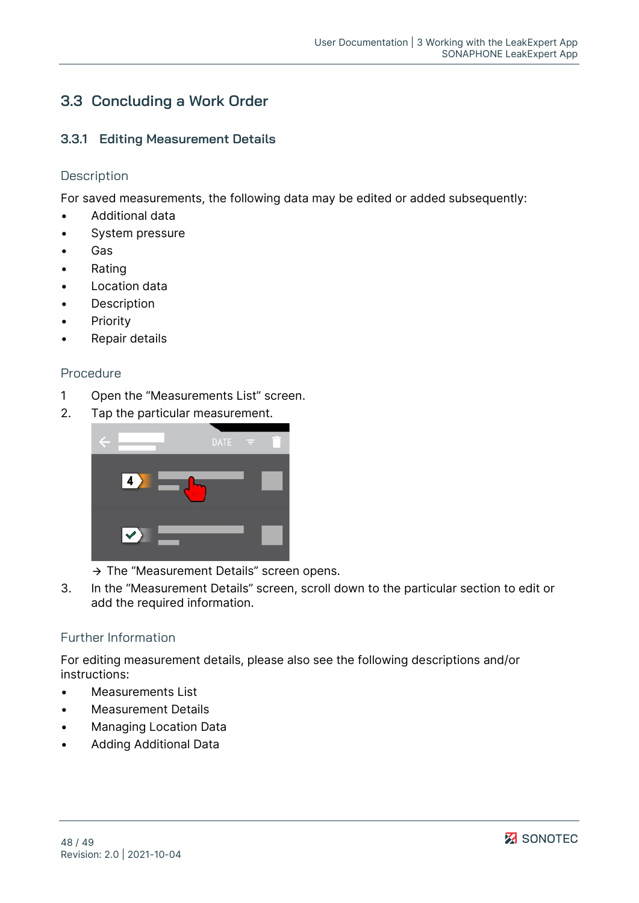## <span id="page-47-0"></span>**3.3 Concluding a Work Order**

### <span id="page-47-1"></span>**3.3.1 Editing Measurement Details**

#### **Description**

For saved measurements, the following data may be edited or added subsequently:

- Additional data
- System pressure
- **Gas**
- Rating
- Location data
- **Description**
- Priority
- Repair details

#### Procedure

- 1 Open the "Measurements List" screen.
- 2. Tap the particular measurement.



- $\rightarrow$  The "Measurement Details" screen opens.
- 3. In the "Measurement Details" screen, scroll down to the particular section to edit or add the required information.

#### Further Information

For editing measurement details, please also see the following descriptions and/or instructions:

- [Measurements List](#page-18-0)
- [Measurement Details](#page-7-0)
- [Managing Location Data](#page-40-0)
- [Adding Additional Data](#page-44-0)

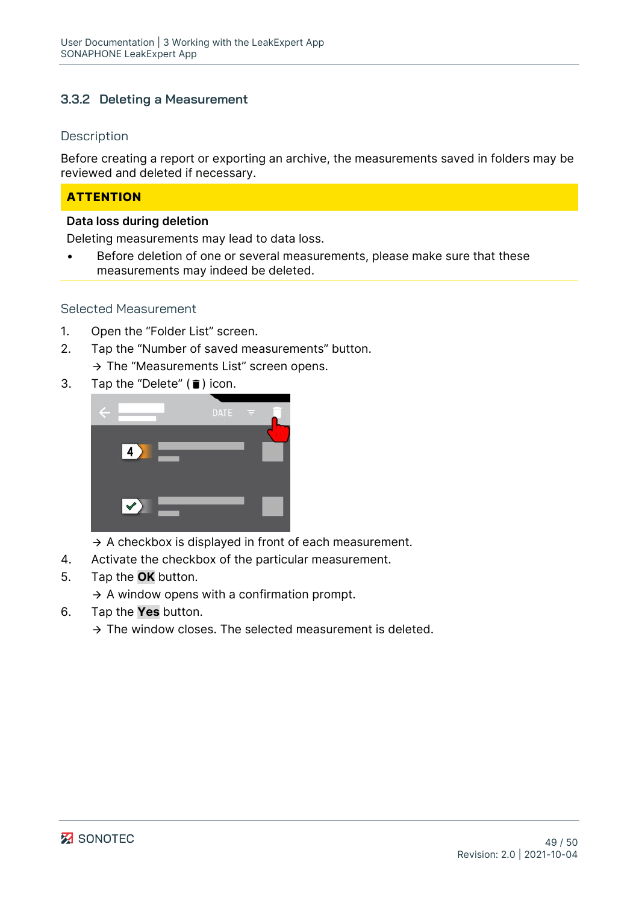## <span id="page-48-0"></span>**3.3.2 Deleting a Measurement**

#### **Description**

Before creating a report or exporting an archive, the measurements saved in folders may be reviewed and deleted if necessary.

## **ATTENTION**

#### **Data loss during deletion**

Deleting measurements may lead to data loss.

Before deletion of one or several measurements, please make sure that these measurements may indeed be deleted.

#### Selected Measurement

- 1. Open the "Folder List" screen.
- 2. Tap the "Number of saved measurements" button.

 $\rightarrow$  The "Measurements List" screen opens.

3. Tap the "Delete"  $(\blacksquare)$  icon.



- $\rightarrow$  A checkbox is displayed in front of each measurement.
- 4. Activate the checkbox of the particular measurement.
- 5. Tap the **OK** button.
	- $\rightarrow$  A window opens with a confirmation prompt.
- 6. Tap the **Yes** button.
	- $\rightarrow$  The window closes. The selected measurement is deleted.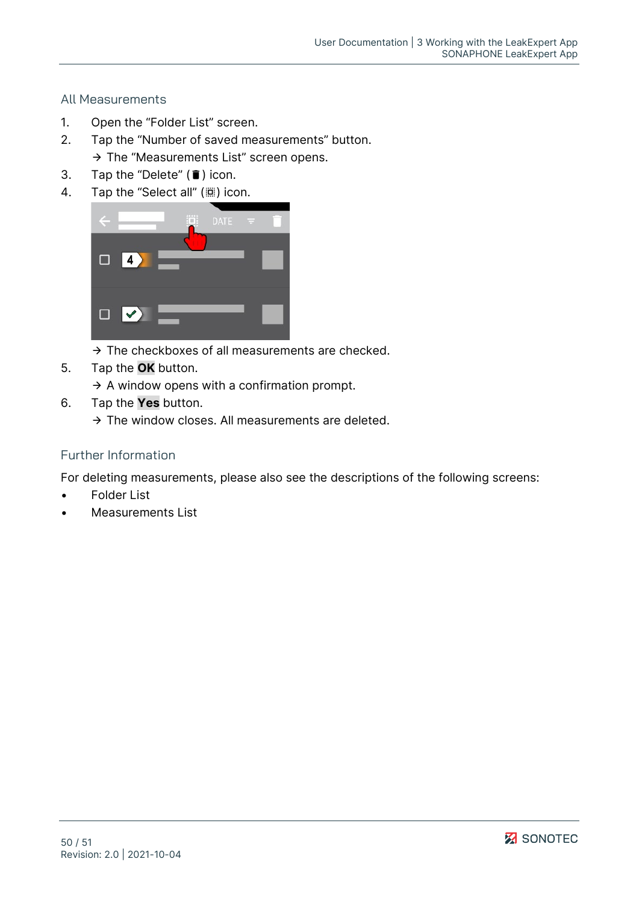## All Measurements

- 1. Open the "Folder List" screen.
- 2. Tap the "Number of saved measurements" button.
	- $\rightarrow$  The "Measurements List" screen opens.
- 3. Tap the "Delete"  $(\bar{\bullet})$  icon.
- 4. Tap the "Select all" ( $\dddot{m}$ ) icon.



- $\rightarrow$  The checkboxes of all measurements are checked.
- 5. Tap the **OK** button.
	- $\rightarrow$  A window opens with a confirmation prompt.
- 6. Tap the **Yes** button.
	- $\rightarrow$  The window closes. All measurements are deleted.

### Further Information

For deleting measurements, please also see the descriptions of the following screens:

- [Folder List](#page-10-0)
- [Measurements List](#page-18-0)

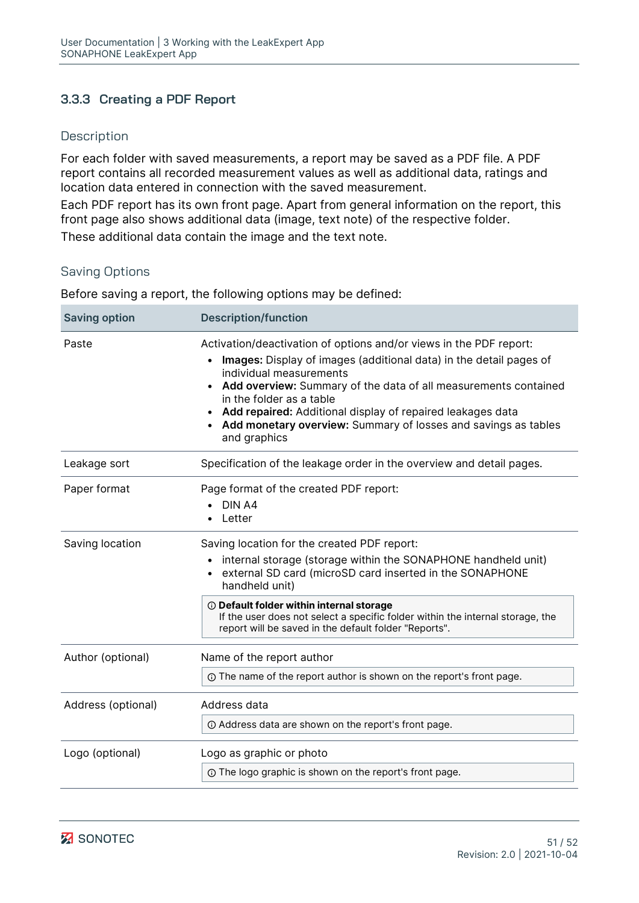## <span id="page-50-0"></span>**3.3.3 Creating a PDF Report**

### **Description**

For each folder with saved measurements, a report may be saved as a PDF file. A PDF report contains all recorded measurement values as well as additional data, ratings and location data entered in connection with the saved measurement.

Each PDF report has its own front page. Apart from general information on the report, this front page also shows additional data (image, text note) of the respective folder.

These additional data contain the image and the text note.

## Saving Options

Before saving a report, the following options may be defined:

| <b>Saving option</b> | <b>Description/function</b>                                                                                                                                                                                                                                                                                                                                                                                                                  |
|----------------------|----------------------------------------------------------------------------------------------------------------------------------------------------------------------------------------------------------------------------------------------------------------------------------------------------------------------------------------------------------------------------------------------------------------------------------------------|
| Paste                | Activation/deactivation of options and/or views in the PDF report:<br>Images: Display of images (additional data) in the detail pages of<br>$\bullet$<br>individual measurements<br>Add overview: Summary of the data of all measurements contained<br>$\bullet$<br>in the folder as a table<br>Add repaired: Additional display of repaired leakages data<br>Add monetary overview: Summary of losses and savings as tables<br>and graphics |
| Leakage sort         | Specification of the leakage order in the overview and detail pages.                                                                                                                                                                                                                                                                                                                                                                         |
| Paper format         | Page format of the created PDF report:<br>DIN A4<br>Letter                                                                                                                                                                                                                                                                                                                                                                                   |
| Saving location      | Saving location for the created PDF report:<br>internal storage (storage within the SONAPHONE handheld unit)<br>external SD card (microSD card inserted in the SONAPHONE<br>handheld unit)                                                                                                                                                                                                                                                   |
|                      | <b><i>O</i></b> Default folder within internal storage<br>If the user does not select a specific folder within the internal storage, the<br>report will be saved in the default folder "Reports".                                                                                                                                                                                                                                            |
| Author (optional)    | Name of the report author                                                                                                                                                                                                                                                                                                                                                                                                                    |
|                      | ① The name of the report author is shown on the report's front page.                                                                                                                                                                                                                                                                                                                                                                         |
| Address (optional)   | Address data                                                                                                                                                                                                                                                                                                                                                                                                                                 |
|                      | 10 Address data are shown on the report's front page.                                                                                                                                                                                                                                                                                                                                                                                        |
| Logo (optional)      | Logo as graphic or photo                                                                                                                                                                                                                                                                                                                                                                                                                     |
|                      | <b>1</b> The logo graphic is shown on the report's front page.                                                                                                                                                                                                                                                                                                                                                                               |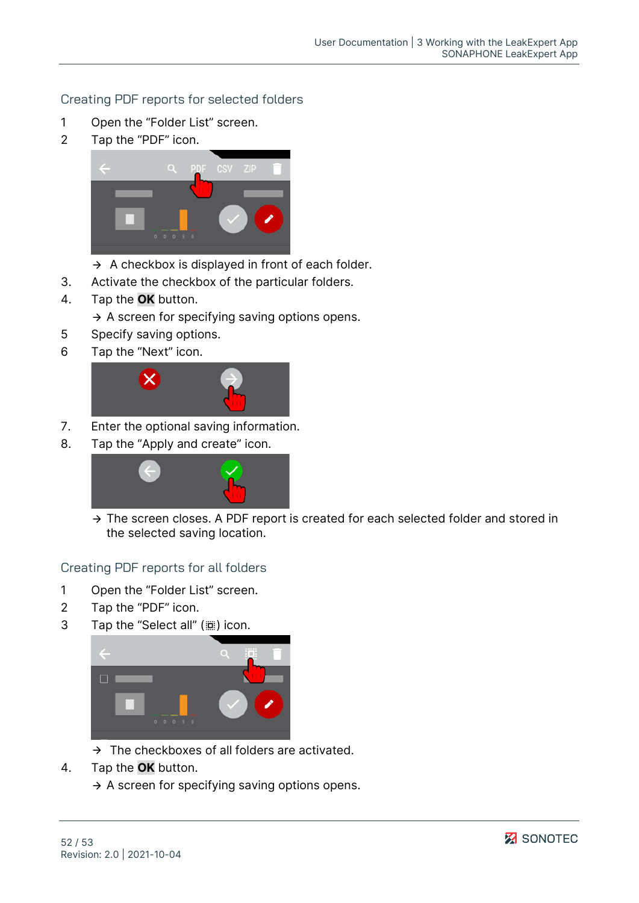## Creating PDF reports for selected folders

- 1 Open the "Folder List" screen.
- 2 Tap the "PDF" icon.



- $\rightarrow$  A checkbox is displayed in front of each folder.
- 3. Activate the checkbox of the particular folders.
- 4. Tap the **OK** button.
	- $\rightarrow$  A screen for specifying saving options opens.
- 5 Specify saving options.
- 6 Tap the "Next" icon.



- 7. Enter the optional saving information.
- 8. Tap the "Apply and create" icon.



 $\rightarrow$  The screen closes. A PDF report is created for each selected folder and stored in the selected saving location.

Creating PDF reports for all folders

- 1 Open the "Folder List" screen.
- 2 Tap the "PDF" icon.
- 3 Tap the "Select all" (() icon.



- $\rightarrow$  The checkboxes of all folders are activated.
- 4. Tap the **OK** button.
	- $\rightarrow$  A screen for specifying saving options opens.

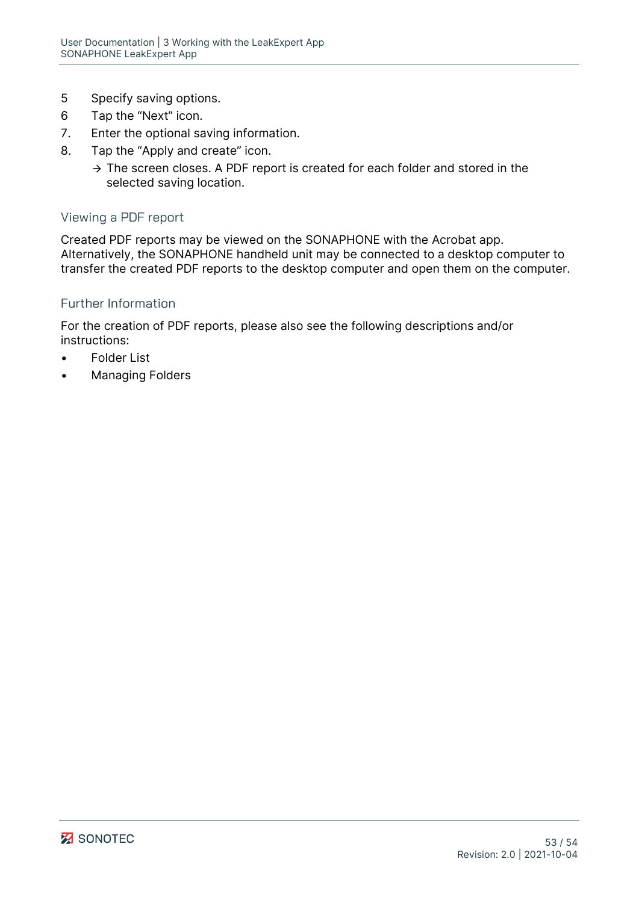- 5 Specify saving options.
- 6 Tap the "Next" icon.
- 7. Enter the optional saving information.
- 8. Tap the "Apply and create" icon.
	- $\rightarrow$  The screen closes. A PDF report is created for each folder and stored in the selected saving location.

#### Viewing a PDF report

Created PDF reports may be viewed on the SONAPHONE with the Acrobat app. Alternatively, the SONAPHONE handheld unit may be connected to a desktop computer to transfer the created PDF reports to the desktop computer and open them on the computer.

#### Further Information

For the creation of PDF reports, please also see the following descriptions and/or instructions:

- **[Folder List](#page-10-0)**
- **[Managing Folders](#page-21-3)**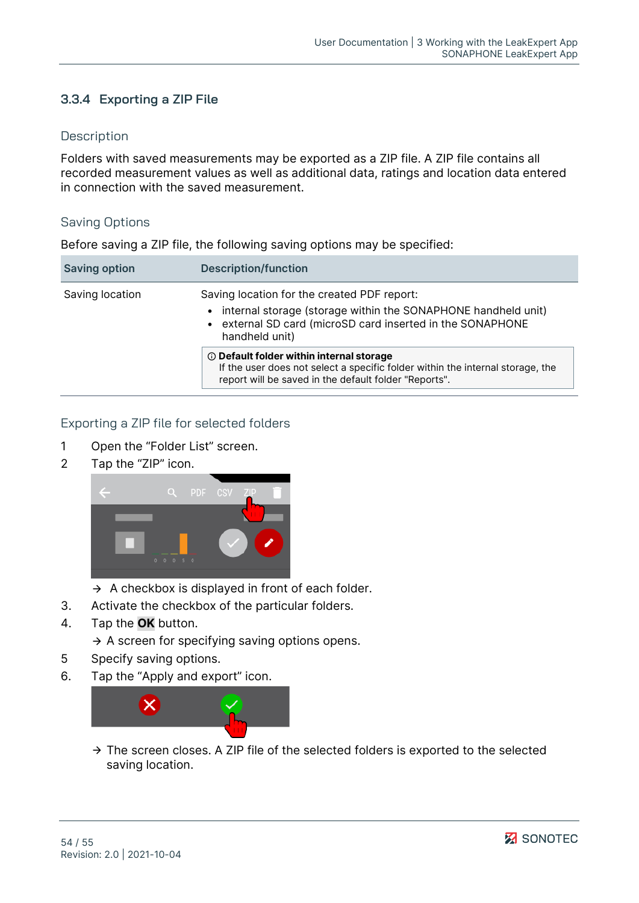## <span id="page-53-0"></span>**3.3.4 Exporting a ZIP File**

#### **Description**

Folders with saved measurements may be exported as a ZIP file. A ZIP file contains all recorded measurement values as well as additional data, ratings and location data entered in connection with the saved measurement.

#### Saving Options

Before saving a ZIP file, the following saving options may be specified:

| <b>Saving option</b> | <b>Description/function</b>                                                                                                                                                                    |
|----------------------|------------------------------------------------------------------------------------------------------------------------------------------------------------------------------------------------|
| Saving location      | Saving location for the created PDF report:<br>• internal storage (storage within the SONAPHONE handheld unit)<br>• external SD card (microSD card inserted in the SONAPHONE<br>handheld unit) |
|                      | <b>1</b> Default folder within internal storage<br>If the user does not select a specific folder within the internal storage, the<br>report will be saved in the default folder "Reports".     |

#### Exporting a ZIP file for selected folders

- 1 Open the "Folder List" screen.
- 2 Tap the "ZIP" icon.



- $\rightarrow$  A checkbox is displayed in front of each folder.
- 3. Activate the checkbox of the particular folders.
- 4. Tap the **OK** button.
	- $\rightarrow$  A screen for specifying saving options opens.
- 5 Specify saving options.
- 6. Tap the "Apply and export" icon.



 $\rightarrow$  The screen closes. A ZIP file of the selected folders is exported to the selected saving location.

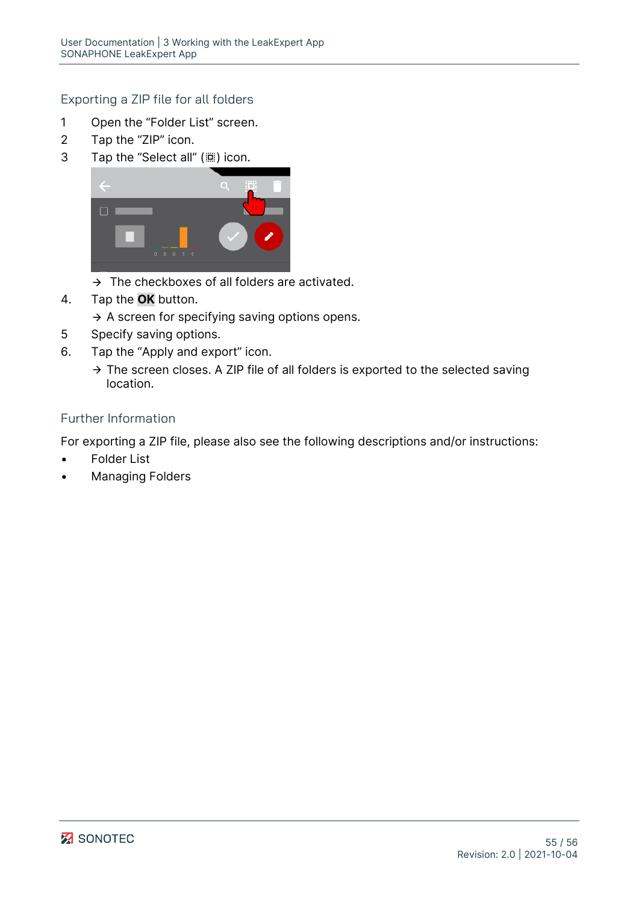## Exporting a ZIP file for all folders

- 1 Open the "Folder List" screen.
- 2 Tap the "ZIP" icon.
- 3 Tap the "Select all" ( $\dddot{m}$ ) icon.



- $\rightarrow$  The checkboxes of all folders are activated.
- 4. Tap the **OK** button.
	- $\rightarrow$  A screen for specifying saving options opens.
- 5 Specify saving options.
- 6. Tap the "Apply and export" icon.
	- $\rightarrow$  The screen closes. A ZIP file of all folders is exported to the selected saving location.

## Further Information

For exporting a ZIP file, please also see the following descriptions and/or instructions:

- **[Folder List](#page-10-0)**
- [Managing Folders](#page-21-3)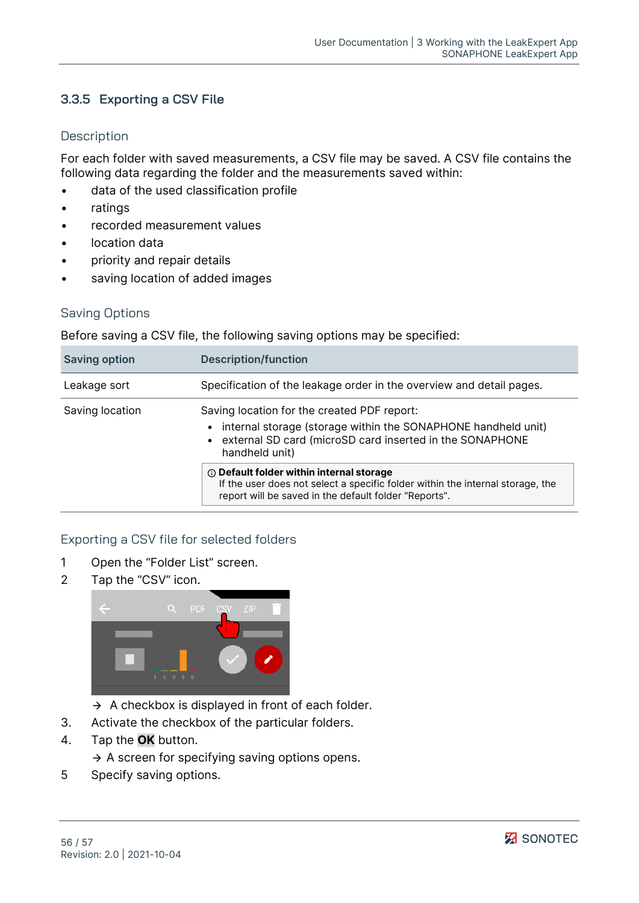## <span id="page-55-0"></span>**3.3.5 Exporting a CSV File**

### **Description**

For each folder with saved measurements, a CSV file may be saved. A CSV file contains the following data regarding the folder and the measurements saved within:

- data of the used classification profile
- **ratings**
- recorded measurement values
- location data
- priority and repair details
- saving location of added images

## Saving Options

Before saving a CSV file, the following saving options may be specified:

| <b>Saving option</b> | <b>Description/function</b>                                                                                                                                                                    |
|----------------------|------------------------------------------------------------------------------------------------------------------------------------------------------------------------------------------------|
| Leakage sort         | Specification of the leakage order in the overview and detail pages.                                                                                                                           |
| Saving location      | Saving location for the created PDF report:<br>• internal storage (storage within the SONAPHONE handheld unit)<br>• external SD card (microSD card inserted in the SONAPHONE<br>handheld unit) |
|                      | <b>1</b> Default folder within internal storage<br>If the user does not select a specific folder within the internal storage, the<br>report will be saved in the default folder "Reports".     |

## Exporting a CSV file for selected folders

- 1 Open the "Folder List" screen.
- 2 Tap the "CSV" icon.



- $\rightarrow$  A checkbox is displayed in front of each folder.
- 3. Activate the checkbox of the particular folders.
- 4. Tap the **OK** button.
	- $\rightarrow$  A screen for specifying saving options opens.
- 5 Specify saving options.

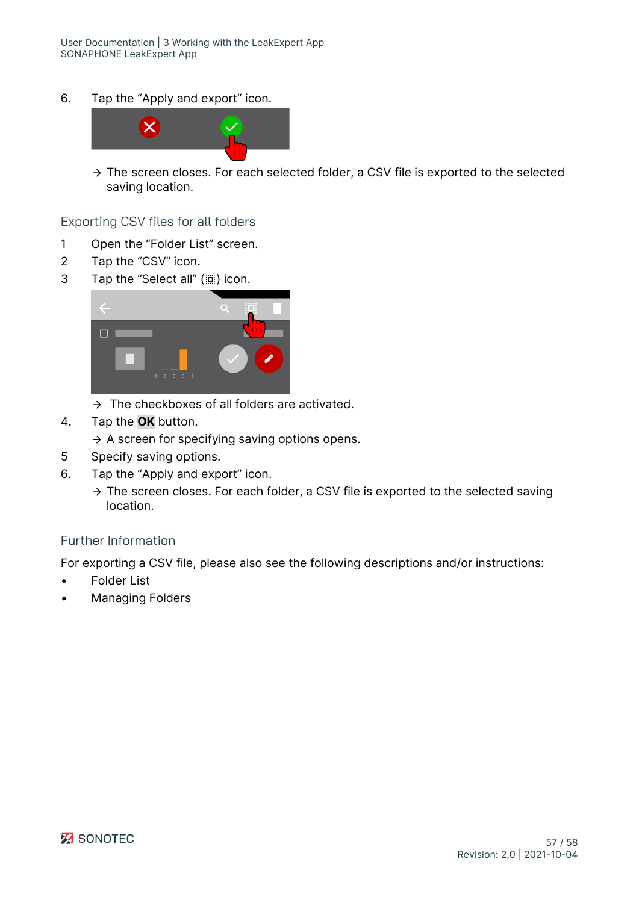6. Tap the "Apply and export" icon.



 $\rightarrow$  The screen closes. For each selected folder, a CSV file is exported to the selected saving location.

#### Exporting CSV files for all folders

- 1 Open the "Folder List" screen.
- 2 Tap the "CSV" icon.
- 3 Tap the "Select all" ((iiii) icon.



- $\rightarrow$  The checkboxes of all folders are activated.
- 4. Tap the **OK** button.
	- $\rightarrow$  A screen for specifying saving options opens.
- 5 Specify saving options.
- 6. Tap the "Apply and export" icon.
	- $\rightarrow$  The screen closes. For each folder, a CSV file is exported to the selected saving location.

#### Further Information

For exporting a CSV file, please also see the following descriptions and/or instructions:

- **[Folder List](#page-10-0)**
- [Managing Folders](#page-21-3)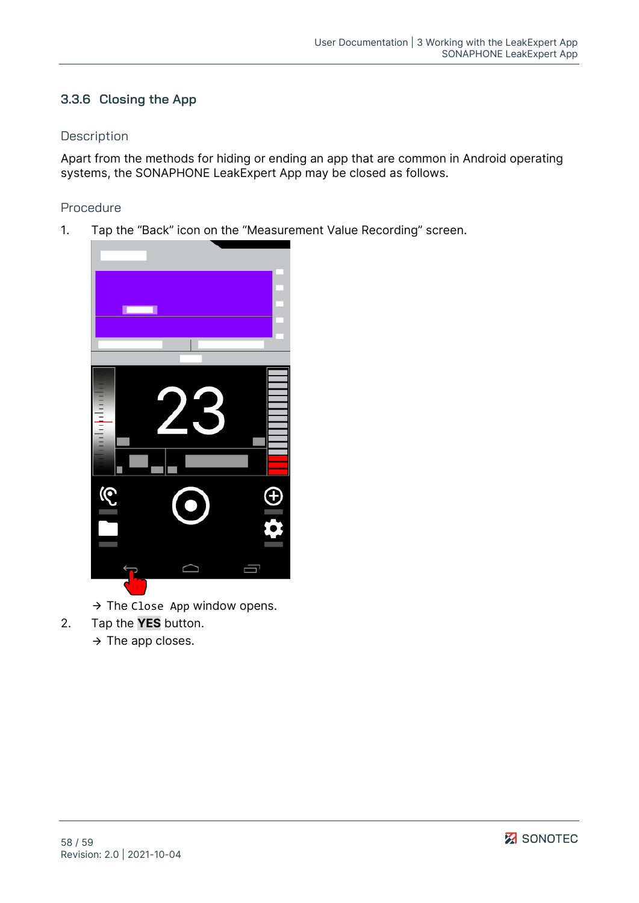## <span id="page-57-0"></span>**3.3.6 Closing the App**

### **Description**

Apart from the methods for hiding or ending an app that are common in Android operating systems, the SONAPHONE LeakExpert App may be closed as follows.

## Procedure

1. Tap the "Back" icon on the "Measurement Value Recording" screen.



- $\rightarrow$  The Close App window opens.
- 2. Tap the **YES** button.
	- $\rightarrow$  The app closes.